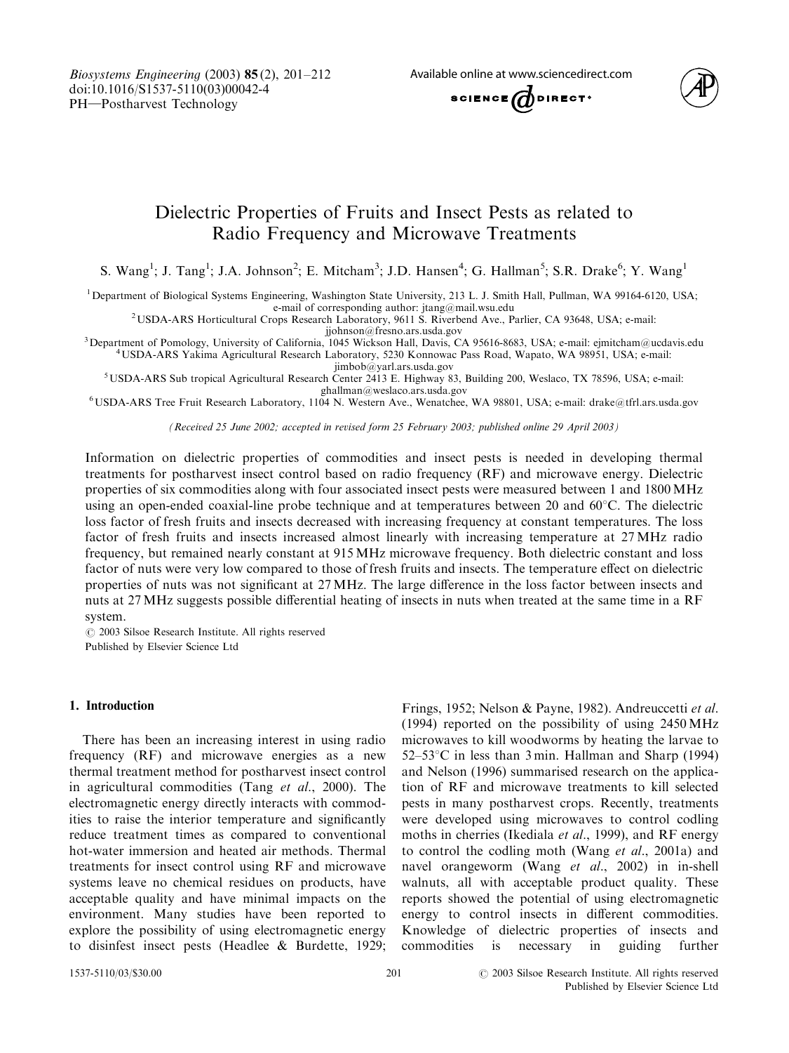Biosystems Engineering (2003) 85 (2), 201–212 doi:10.1016/S1537-5110(03)00042-4 PH-Postharvest Technology

Available online at www.sciencedirect.com



# Dielectric Properties of Fruits and Insect Pests as related to Radio Frequency and Microwave Treatments

S. Wang<sup>1</sup>; J. Tang<sup>1</sup>; J.A. Johnson<sup>2</sup>; E. Mitcham<sup>3</sup>; J.D. Hansen<sup>4</sup>; G. Hallman<sup>5</sup>; S.R. Drake<sup>6</sup>; Y. Wang<sup>1</sup>

<sup>1</sup>Department of Biological Systems Engineering, Washington State University, 213 L. J. Smith Hall, Pullman, WA 99164-6120, USA;<br>e-mail of corresponding author: jtang@mail.wsu.edu

e-mail of corresponding author: [jtang@mail.wsu.edu](mailto:jtang@mail.wsu.edu)<br><sup>[2](mailto:jtang@mail.wsu.edu)</sup>[USDA-ARS Horticultural Crops Research Laboratory, 9611 S. Riverbend Ave., Parlier, CA 93648, USA; e-mail:](mailto:jtang@mail.wsu.edu) jjohnson@fresno.ars.usda.gov<br><sup>3</sup> Department of Pomology, University of California, 1045 Wickson Hall, Davis, C

Department of Pomology, University of California, 1045 Wickson Hall, Davis, CA 95616-8683, USA; e-mail: ejmitcham@ucdavis.edu<br><sup>4</sup>USDA-ARS Yakima Agricultural Research Laboratory, 5230 Konnowac Pass Road, Wapato, WA 98951,

jimbob@yarl.ars.usda.gov<br>5 USDA-ARS Sub tropical Agricultural Research Center 2413 E. Highway 83, Building 200, Weslaco, TX 78596, USA; e-mail:<br>ghallman@weslaco.ars.usda.gov

<sup>6</sup>USDA-ARS Tree Fruit Research Laboratory, 1104 N. Western Ave., Wenatchee, WA 98801, USA; e-mail: drake@tfrl.ars.usda.gov

(Received 25 June 2002; accepted in revised form 25 February 2003; published online 29 April 2003)

Information on dielectric properties of commodities and insect pests is needed in developing thermal treatments for postharvest insect control based on radio frequency (RF) and microwave energy. Dielectric properties of six commodities along with four associated insect pests were measured between 1 and 1800 MHz using an open-ended coaxial-line probe technique and at temperatures between 20 and  $60^{\circ}$ C. The dielectric loss factor of fresh fruits and insects decreased with increasing frequency at constant temperatures. The loss factor of fresh fruits and insects increased almost linearly with increasing temperature at 27 MHz radio frequency, but remained nearly constant at 915 MHz microwave frequency. Both dielectric constant and loss factor of nuts were very low compared to those of fresh fruits and insects. The temperature effect on dielectric properties of nuts was not significant at 27 MHz. The large difference in the loss factor between insects and nuts at 27 MHz suggests possible differential heating of insects in nuts when treated at the same time in a RF system.

 $\odot$  2003 Silsoe Research Institute. All rights reserved Published by Elsevier Science Ltd

# 1. Introduction

There has been an increasing interest in using radio frequency (RF) and microwave energies as a new thermal treatment method for postharvest insect control in agricultural commodities (Tang  $et$  al., 2000). The electromagnetic energy directly interacts with commodities to raise the interior temperature and significantly reduce treatment times as compared to conventional hot-water immersion and heated air methods. Thermal treatments for insect control using RF and microwave systems leave no chemical residues on products, have acceptable quality and have minimal impacts on the environment. Many studies have been reported to explore the possibility of using electromagnetic energy to disinfest insect pests (Headlee & Burdette, 1929;

Frings, 1952; Nelson & Payne, 1982). Andreuccetti et al. (1994) reported on the possibility of using  $2450 \text{ MHz}$ microwaves to kill woodworms by heating the larvae to  $52-53$ °C in less than 3 min. Hallman and Sharp (1994) and Nelson (1996) summarised research on the application of RF and microwave treatments to kill selected pests in many postharvest crops. Recently, treatments were developed using microwaves to control codling moths in cherries (Ikediala et al., 1999), and RF energy to control the codling moth (Wang et al., 2001a) and navel orangeworm (Wang  $et$   $al$ , 2002) in in-shell walnuts, all with acceptable product quality. These reports showed the potential of using electromagnetic energy to control insects in different commodities. Knowledge of dielectric properties of insects and commodities is necessary in guiding further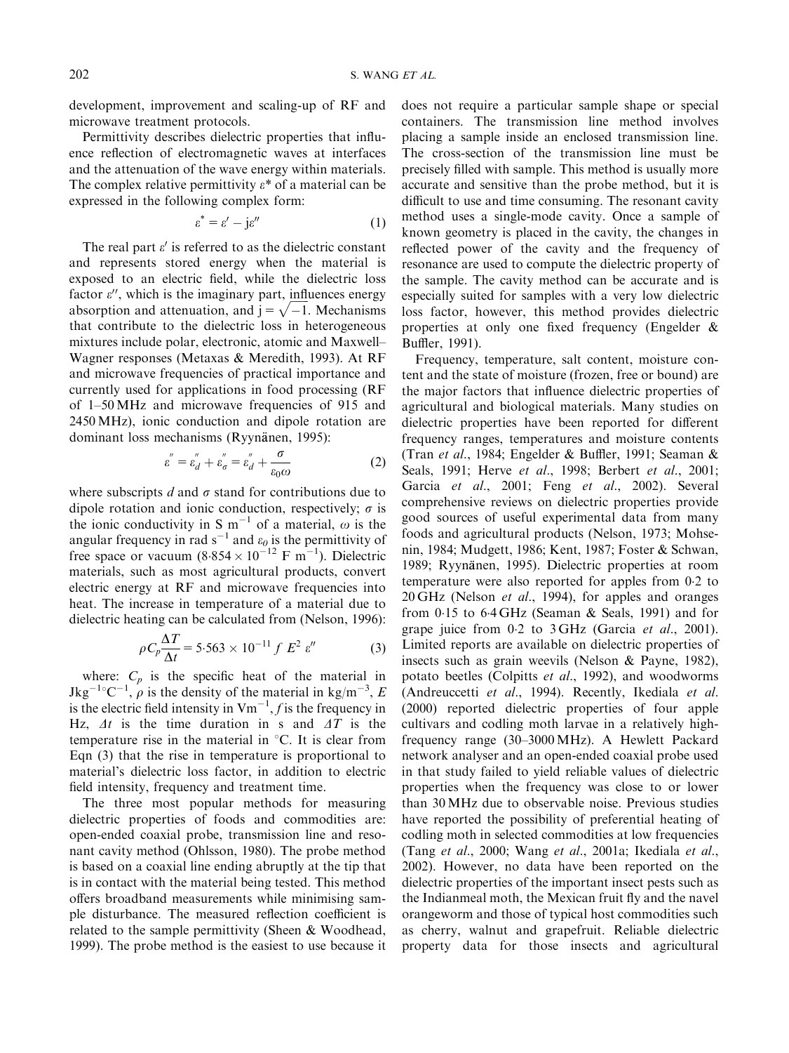development, improvement and scaling-up of RF and microwave treatment protocols.

Permittivity describes dielectric properties that influence reflection of electromagnetic waves at interfaces and the attenuation of the wave energy within materials. The complex relative permittivity  $\varepsilon^*$  of a material can be expressed in the following complex form:

$$
\varepsilon^* = \varepsilon' - j\varepsilon'' \tag{1}
$$

The real part  $\varepsilon'$  is referred to as the dielectric constant and represents stored energy when the material is exposed to an electric field, while the dielectric loss factor  $\varepsilon$ ", which is the imaginary part, influences energy ractor  $\varepsilon$ , which is the imaginary part, influences energy<br>absorption and attenuation, and  $j = \sqrt{-1}$ . Mechanisms that contribute to the dielectric loss in heterogeneous mixtures include polar, electronic, atomic and Maxwell– Wagner responses (Metaxas & Meredith, 1993). At RF and microwave frequencies of practical importance and currently used for applications in food processing (RF of 1–50 MHz and microwave frequencies of 915 and 2450 MHz), ionic conduction and dipole rotation are dominant loss mechanisms (Ryynänen, 1995):

$$
\varepsilon^{''} = \varepsilon_{d}^{''} + \varepsilon_{\sigma}^{''} = \varepsilon_{d}^{''} + \frac{\sigma}{\varepsilon_{0}\omega}
$$
 (2)

where subscripts d and  $\sigma$  stand for contributions due to dipole rotation and ionic conduction, respectively;  $\sigma$  is the ionic conductivity in S m<sup>-1</sup> of a material,  $\omega$  is the angular frequency in rad  $s^{-1}$  and  $\varepsilon_0$  is the permittivity of free space or vacuum  $(8.854 \times 10^{-12} \text{ F m}^{-1})$ . Dielectric materials, such as most agricultural products, convert electric energy at RF and microwave frequencies into heat. The increase in temperature of a material due to dielectric heating can be calculated from (Nelson, 1996):

$$
\rho C_p \frac{\Delta T}{\Delta t} = 5.563 \times 10^{-11} f \ E^2 \ \varepsilon'' \tag{3}
$$

where:  $C_p$  is the specific heat of the material in Jkg<sup>-1</sup>°C<sup>-1</sup>,  $\rho$  is the density of the material in kg/m<sup>-3</sup>, E is the electric field intensity in  $Vm^{-1}$ , f is the frequency in Hz,  $\Delta t$  is the time duration in s and  $\Delta T$  is the temperature rise in the material in  $\mathrm{C}$ . It is clear from Eqn  $(3)$  that the rise in temperature is proportional to material's dielectric loss factor, in addition to electric field intensity, frequency and treatment time.

The three most popular methods for measuring dielectric properties of foods and commodities are: open-ended coaxial probe, transmission line and resonant cavity method (Ohlsson, 1980). The probe method is based on a coaxial line ending abruptly at the tip that is in contact with the material being tested. This method offers broadband measurements while minimising sample disturbance. The measured reflection coefficient is related to the sample permittivity (Sheen & Woodhead, 1999). The probe method is the easiest to use because it does not require a particular sample shape or special containers. The transmission line method involves placing a sample inside an enclosed transmission line. The cross-section of the transmission line must be precisely filled with sample. This method is usually more accurate and sensitive than the probe method, but it is difficult to use and time consuming. The resonant cavity method uses a single-mode cavity. Once a sample of known geometry is placed in the cavity, the changes in reflected power of the cavity and the frequency of resonance are used to compute the dielectric property of the sample. The cavity method canbe accurate and is especially suited for samples with a very low dielectric loss factor, however, this method provides dielectric properties at only one fixed frequency (Engelder & Buffler, 1991).

Frequency, temperature, salt content, moisture content and the state of moisture (frozen, free or bound) are the major factors that influence dielectric properties of agricultural and biological materials. Many studies on dielectric properties have been reported for different frequency ranges, temperatures and moisture contents (Tran et al., 1984; Engelder & Buffler, 1991; Seaman & Seals, 1991; Herve et al., 1998; Berbert et al., 2001; Garcia et al., 2001; Feng et al., 2002). Several comprehensive reviews on dielectric properties provide good sources of useful experimental data from many foods and agricultural products (Nelson, 1973; Mohsenin, 1984; Mudgett, 1986; Kent, 1987; Foster & Schwan, 1989; Ryynänen, 1995). Dielectric properties at room temperature were also reported for apples from 02 to 20 GHz (Nelson et al., 1994), for apples and oranges from  $0.15$  to  $6.4$  GHz (Seaman & Seals, 1991) and for grape juice from  $0.2$  to  $3 \text{ GHz}$  (Garcia *et al.*, 2001). Limited reports are available on dielectric properties of insects such as grain weevils (Nelson & Payne, 1982), potato beetles (Colpitts et al., 1992), and woodworms (Andreuccetti et al., 1994). Recently, Ikediala et al. (2000) reported dielectric properties of four apple cultivars and codling moth larvae in a relatively highfrequency range (30–3000 MHz). A Hewlett Packard network analyser and an open-ended coaxial probe used in that study failed to yield reliable values of dielectric properties when the frequency was close to or lower than30 MHz due to observable noise. Previous studies have reported the possibility of preferential heating of codling moth in selected commodities at low frequencies (Tang et al., 2000; Wang et al., 2001a; Ikediala et al., 2002). However, no data have been reported on the dielectric properties of the important insect pests such as the Indianmeal moth, the Mexican fruit fly and the navel orangeworm and those of typical host commodities such as cherry, walnut and grapefruit. Reliable dielectric property data for those insects and agricultural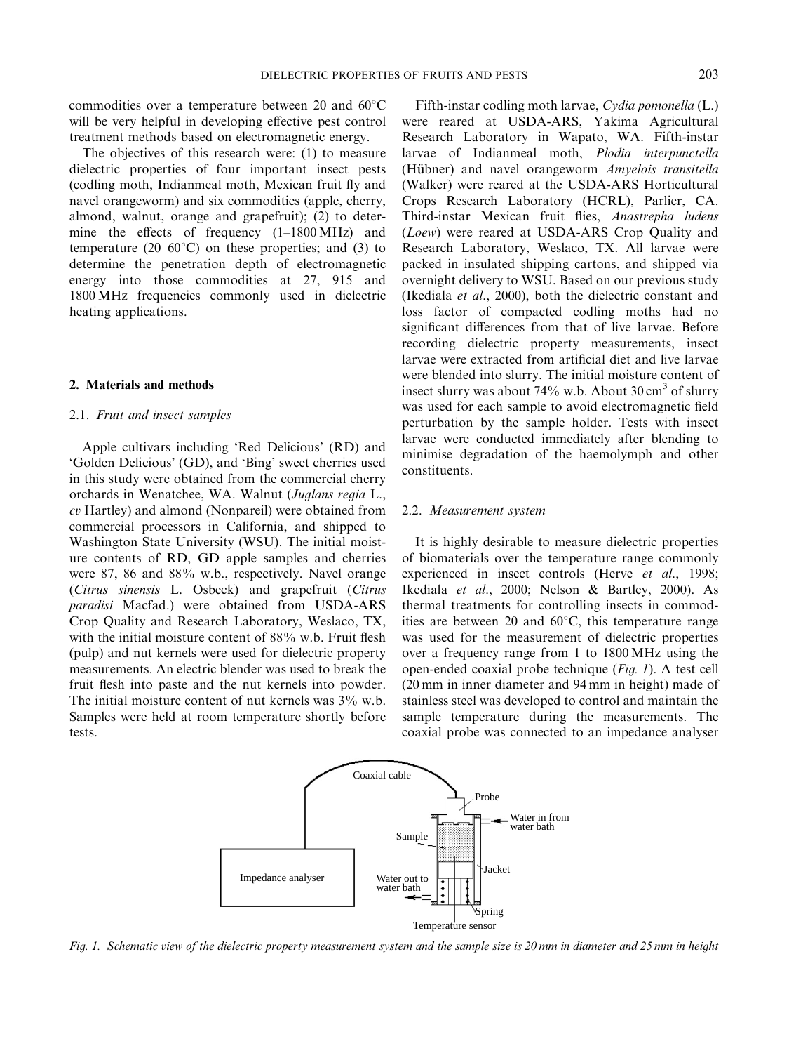commodities over a temperature between 20 and  $60^{\circ}$ C will be very helpful in developing effective pest control treatment methods based on electromagnetic energy.

The objectives of this research were: (1) to measure dielectric properties of four important insect pests (codling moth, Indianmeal moth, Mexican fruit fly and navel orangeworm) and six commodities (apple, cherry, almond, walnut, orange and grapefruit); (2) to determine the effects of frequency (1–1800 MHz) and temperature (20–60 $^{\circ}$ C) on these properties; and (3) to determine the penetration depth of electromagnetic energy into those commodities at 27, 915 and 1800 MHz frequencies commonly used in dielectric heating applications.

### 2. Materials and methods

### 2.1. Fruit and insect samples

Apple cultivars including 'Red Delicious' (RD) and 'Golden Delicious' (GD), and 'Bing' sweet cherries used in this study were obtained from the commercial cherry orchards in Wenatchee, WA. Walnut (Juglans regia L., cv Hartley) and almond (Nonpareil) were obtained from commercial processors in California, and shipped to Washington State University (WSU). The initial moisture contents of RD, GD apple samples and cherries were 87, 86 and 88% w.b., respectively. Navel orange (Citrus sinensis L. Osbeck) and grapefruit (Citrus paradisi Macfad.) were obtained from USDA-ARS Crop Quality and Research Laboratory, Weslaco, TX, with the initial moisture content of 88% w.b. Fruit flesh (pulp) and nut kernels were used for dielectric property measurements. An electric blender was used to break the fruit flesh into paste and the nut kernels into powder. The initial moisture content of nut kernels was  $3\%$  w.b. Samples were held at room temperature shortly before tests.

Fifth-instar codling moth larvae, Cydia pomonella (L.) were reared at USDA-ARS, Yakima Agricultural Research Laboratory in Wapato, WA. Fifth-instar larvae of Indianmeal moth, Plodia interpunctella (Hübner) and navel orangeworm Amyelois transitella (Walker) were reared at the USDA-ARS Horticultural Crops Research Laboratory (HCRL), Parlier, CA. Third-instar Mexican fruit flies, Anastrepha ludens (Loew) were reared at USDA-ARS Crop Quality and Research Laboratory, Weslaco, TX. All larvae were packed in insulated shipping cartons, and shipped via overnight delivery to WSU. Based on our previous study (Ikediala et al., 2000), both the dielectric constant and loss factor of compacted codling moths had no significant differences from that of live larvae. Before recording dielectric property measurements, insect larvae were extracted from artificial diet and live larvae were blended into slurry. The initial moisture content of insect slurry was about 74% w.b. About  $30 \text{ cm}^3$  of slurry was used for each sample to avoid electromagnetic field perturbation by the sample holder. Tests with insect larvae were conducted immediately after blending to minimise degradation of the haemolymph and other constituents.

### 2.2. Measurement system

It is highly desirable to measure dielectric properties of biomaterials over the temperature range commonly experienced in insect controls (Herve et al., 1998; Ikediala et al., 2000; Nelson & Bartley, 2000). As thermal treatments for controlling insects in commodities are between 20 and  $60^{\circ}$ C, this temperature range was used for the measurement of dielectric properties over a frequency range from 1 to 1800 MHz using the open-ended coaxial probe technique (Fig. 1). A test cell (20 mm in inner diameter and 94 mm in height) made of stainless steel was developed to control and maintain the sample temperature during the measurements. The coaxial probe was connected to an impedance analyser



Fig. 1. Schematic view of the dielectric property measurement system and the sample size is 20 mm in diameter and 25 mm in height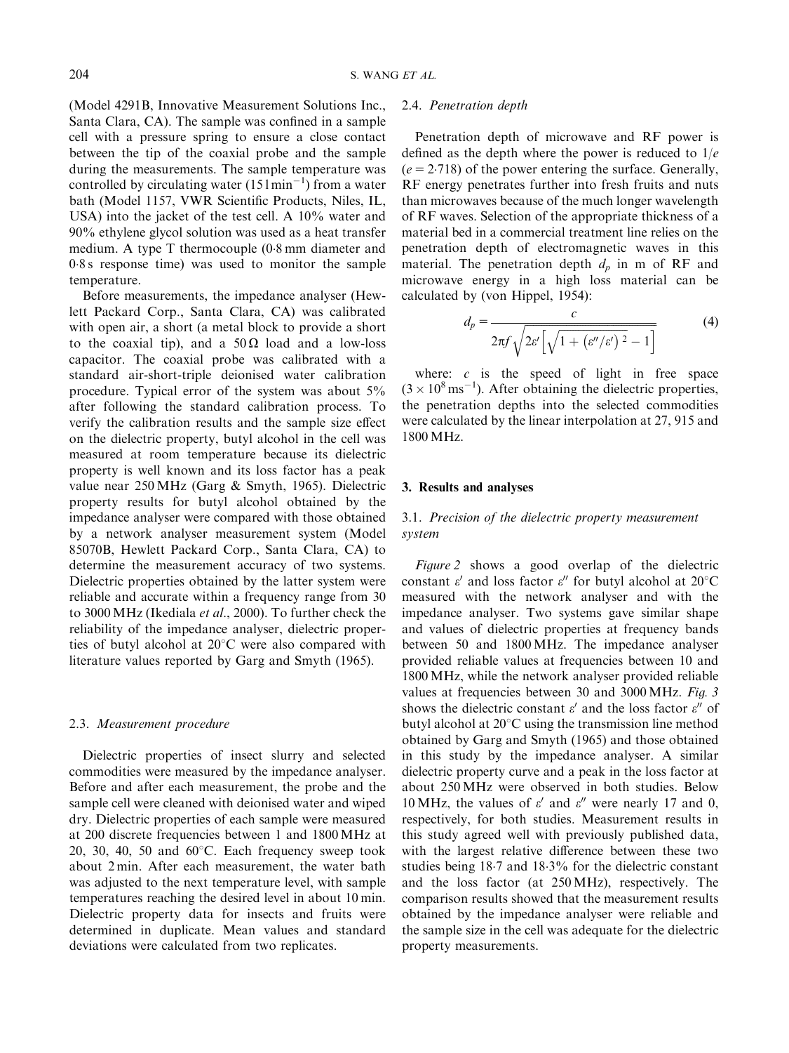(Model 4291B, Innovative Measurement Solutions Inc., Santa Clara, CA). The sample was confined in a sample cell with a pressure spring to ensure a close contact between the tip of the coaxial probe and the sample during the measurements. The sample temperature was controlled by circulating water  $(151 \text{min}^{-1})$  from a water bath (Model 1157, VWR Scientific Products, Niles, IL, USA) into the jacket of the test cell. A 10% water and 90% ethylene glycol solution was used as a heat transfer medium. A type T thermocouple  $(0.8 \text{ mm}$  diameter and 08 s response time) was used to monitor the sample temperature.

Before measurements, the impedance analyser (Hewlett Packard Corp., Santa Clara, CA) was calibrated with openair, a short (a metal block to provide a short to the coaxial tip), and a  $50\Omega$  load and a low-loss capacitor. The coaxial probe was calibrated with a standard air-short-triple deionised water calibration procedure. Typical error of the system was about 5% after following the standard calibration process. To verify the calibration results and the sample size effect on the dielectric property, butyl alcohol in the cell was measured at room temperature because its dielectric property is well known and its loss factor has a peak value near 250 MHz (Garg & Smyth, 1965). Dielectric property results for butyl alcohol obtained by the impedance analyser were compared with those obtained by a network analyser measurement system (Model 85070B, Hewlett Packard Corp., Santa Clara, CA) to determine the measurement accuracy of two systems. Dielectric properties obtained by the latter system were reliable and accurate within a frequency range from 30 to 3000 MHz (Ikediala et al., 2000). To further check the reliability of the impedance analyser, dielectric properties of butyl alcohol at  $20^{\circ}$ C were also compared with literature values reported by Garg and Smyth (1965).

### 2.3. Measurement procedure

Dielectric properties of insect slurry and selected commodities were measured by the impedance analyser. Before and after each measurement, the probe and the sample cell were cleaned with deionised water and wiped dry. Dielectric properties of each sample were measured at 200 discrete frequencies between 1 and 1800 MHz at 20, 30, 40, 50 and  $60^{\circ}$ C. Each frequency sweep took about 2 min. After each measurement, the water bath was adjusted to the next temperature level, with sample temperatures reaching the desired level in about 10 min. Dielectric property data for insects and fruits were determined in duplicate. Mean values and standard deviations were calculated from two replicates.

# 2.4. Penetration depth

Penetration depth of microwave and RF power is defined as the depth where the power is reduced to  $1/e$  $(e = 2.718)$  of the power entering the surface. Generally, RF energy penetrates further into fresh fruits and nuts than microwaves because of the much longer wavelength of RF waves. Selection of the appropriate thickness of a material bed in a commercial treatment line relies on the penetration depth of electromagnetic waves in this material. The penetration depth  $d_n$  in m of RF and microwave energy in a high loss material can be calculated by (von Hippel, 1954):

$$
d_p = \frac{c}{2\pi f \sqrt{2\varepsilon' \left[\sqrt{1 + \left(\varepsilon''/\varepsilon'\right)^2} - 1\right]}}\tag{4}
$$

where:  $c$  is the speed of light in free space  $(3 \times 10^8 \,\mathrm{ms}^{-1})$ . After obtaining the dielectric properties, the penetration depths into the selected commodities were calculated by the linear interpolation at 27, 915 and 1800 MHz.

## 3. Results and analyses

# 3.1. Precision of the dielectric property measurement system

Figure 2 shows a good overlap of the dielectric constant  $\varepsilon'$  and loss factor  $\varepsilon''$  for butyl alcohol at 20°C measured with the network analyser and with the impedance analyser. Two systems gave similar shape and values of dielectric properties at frequency bands between 50 and 1800 MHz. The impedance analyser provided reliable values at frequencies between 10 and 1800 MHz, while the network analyser provided reliable values at frequencies between 30 and 3000 MHz. Fig. 3 shows the dielectric constant  $\varepsilon'$  and the loss factor  $\varepsilon''$  of butyl alcohol at  $20^{\circ}$ C using the transmission line method obtained by Garg and Smyth (1965) and those obtained in this study by the impedance analyser. A similar dielectric property curve and a peak in the loss factor at about 250 MHz were observed in both studies. Below 10 MHz, the values of  $\varepsilon'$  and  $\varepsilon''$  were nearly 17 and 0, respectively, for both studies. Measurement results in this study agreed well with previously published data, with the largest relative difference between these two studies being  $18.7$  and  $18.3\%$  for the dielectric constant and the loss factor (at 250 MHz), respectively. The comparison results showed that the measurement results obtained by the impedance analyser were reliable and the sample size in the cell was adequate for the dielectric property measurements.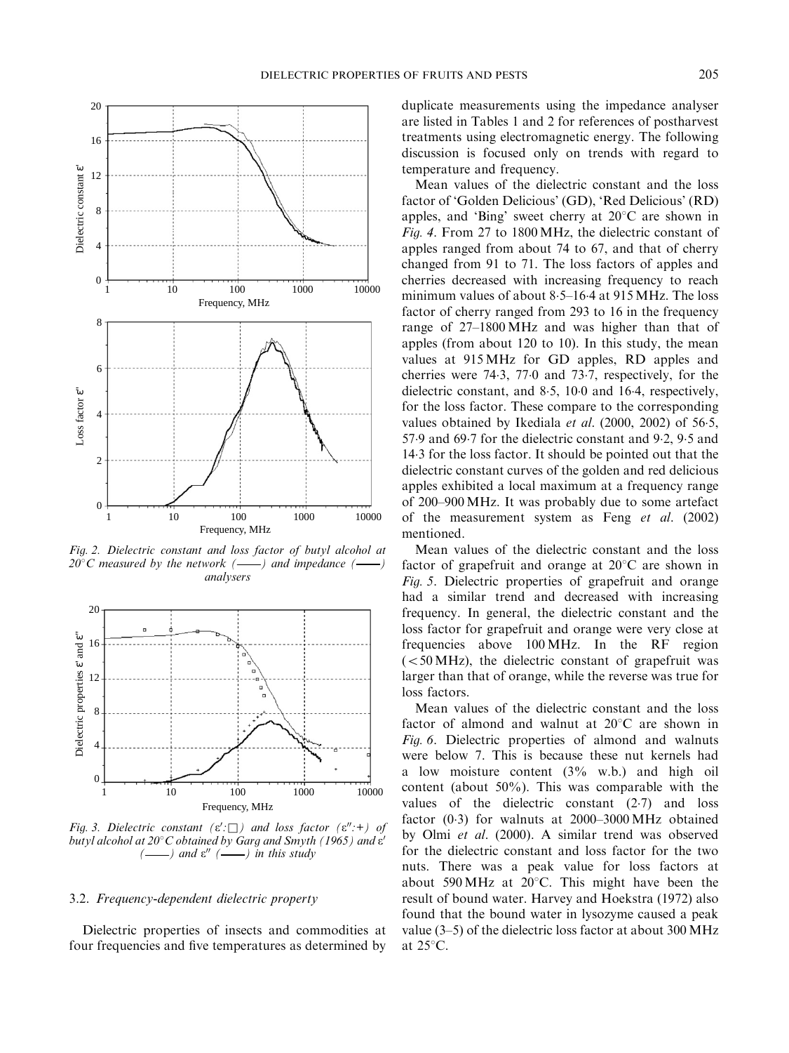

Fig. 2. Dielectric constant and loss factor of butyl alcohol at  $20^{\circ}$ C measured by the network (--) and impedance (analysers



Fig. 3. Dielectric constant  $(\varepsilon' : \Box)$  and loss factor  $(\varepsilon'' : \dag)$  of butyl alcohol at  $20^{\circ}$ C obtained by Garg and Smyth (1965) and  $\varepsilon'$  $-$ ) and  $\varepsilon$ <sup>*n*</sup> ( $\longrightarrow$ ) in this study

### 3.2. Frequency-dependent dielectric property

Dielectric properties of insects and commodities at four frequencies and five temperatures as determined by duplicate measurements using the impedance analyser are listed inTables 1 and 2 for references of postharvest treatments using electromagnetic energy. The following discussion is focused only on trends with regard to temperature and frequency.

Mean values of the dielectric constant and the loss factor of 'Golden Delicious' (GD), 'Red Delicious' (RD) apples, and 'Bing' sweet cherry at  $20^{\circ}$ C are shown in Fig. 4. From 27 to 1800 MHz, the dielectric constant of apples ranged from about 74 to 67, and that of cherry changed from 91 to 71. The loss factors of apples and cherries decreased with increasing frequency to reach minimum values of about 8.5–16.4 at 915 MHz. The loss factor of cherry ranged from 293 to 16 in the frequency range of 27–1800 MHz and was higher than that of apples (from about  $120$  to  $10$ ). In this study, the mean values at 915 MHz for GD apples, RD apples and cherries were  $74.3$ ,  $77.0$  and  $73.7$ , respectively, for the dielectric constant, and  $8.5$ ,  $10.0$  and  $16.4$ , respectively, for the loss factor. These compare to the corresponding values obtained by Ikediala et al.  $(2000, 2002)$  of 56.5, 57.9 and 69.7 for the dielectric constant and 9.2, 9.5 and 143 for the loss factor. It should be pointed out that the dielectric constant curves of the golden and red delicious apples exhibited a local maximum at a frequency range of 200–900 MHz. It was probably due to some artefact of the measurement system as Feng et al. (2002) mentioned.

Mean values of the dielectric constant and the loss factor of grapefruit and orange at  $20^{\circ}$ C are shown in Fig. 5. Dielectric properties of grapefruit and orange had a similar trend and decreased with increasing frequency. In general, the dielectric constant and the loss factor for grapefruit and orange were very close at frequencies above 100 MHz. In the RF region  $(<50$  MHz), the dielectric constant of grapefruit was larger than that of orange, while the reverse was true for loss factors.

Mean values of the dielectric constant and the loss factor of almond and walnut at  $20^{\circ}$ C are shown in Fig. 6. Dielectric properties of almond and walnuts were below 7. This is because these nut kernels had a low moisture content (3% w.b.) and high oil content (about 50%). This was comparable with the values of the dielectric constant  $(2.7)$  and loss factor (03) for walnuts at 2000–3000 MHz obtained by Olmi et al. (2000). A similar trend was observed for the dielectric constant and loss factor for the two nuts. There was a peak value for loss factors at about 590 MHz at  $20^{\circ}$ C. This might have been the result of bound water. Harvey and Hoekstra (1972) also found that the bound water in lysozyme caused a peak value (3–5) of the dielectric loss factor at about 300 MHz at  $25^{\circ}$ C.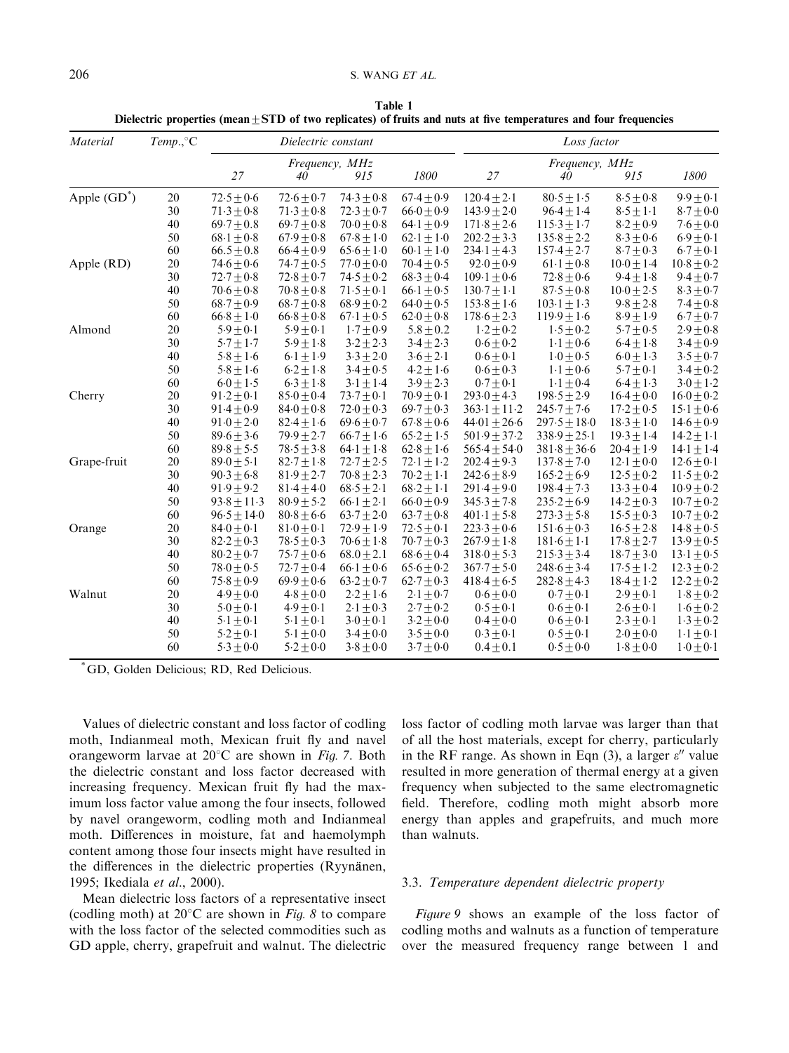| Table 1                                                                                                               |  |
|-----------------------------------------------------------------------------------------------------------------------|--|
| Dielectric properties (mean $\pm$ STD of two replicates) of fruits and nuts at five temperatures and four frequencies |  |

| Frequency, MHz<br>Frequency, MHz<br>27<br>27<br>915<br>1800<br>40<br>40<br>915<br>Apple $(GD^*)$<br>$72.5 \pm 0.6$<br>$72.6 \pm 0.7$<br>$74.3 \pm 0.8$<br>$67.4 \pm 0.9$<br>$120.4 \pm 2.1$<br>$80.5 \pm 1.5$<br>$8.5 \pm 0.8$<br>$9.9 + 0.1$<br>20<br>30<br>$96.4 \pm 1.4$<br>$71.3 + 0.8$<br>$71.3 + 0.8$<br>$72.3 + 0.7$<br>$66.0 + 0.9$<br>$143.9 + 2.0$<br>$8.5 + 1.1$<br>$8.7 \pm 0.0$<br>40<br>$69.7 + 0.8$<br>$69.7 + 0.8$<br>$70.0 + 0.8$<br>$64.1 + 0.9$<br>$171.8 + 2.6$<br>$115.3 + 1.7$<br>$8.2 + 0.9$<br>$7.6 \pm 0.0$<br>$135.8 \pm 2.2$<br>50<br>$68.1 \pm 0.8$<br>$67.9 \pm 0.8$<br>$67.8 \pm 1.0$<br>$202.2 \pm 3.3$<br>$8.3 \pm 0.6$<br>$6.9 \pm 0.1$<br>$62.1 + 1.0$<br>60<br>$66.4 \pm 0.9$<br>$8.7 \pm 0.3$<br>$6.7 \pm 0.1$<br>$66.5 \pm 0.8$<br>$65.6 \pm 1.0$<br>$60.1 \pm 1.0$<br>$234.1 \pm 4.3$<br>$157.4 \pm 2.7$<br>20<br>Apple (RD)<br>$74.6 \pm 0.6$<br>$74.7 + 0.5$<br>$77.0 \pm 0.0$<br>$70.4 \pm 0.5$<br>$92.0 + 0.9$<br>$61.1 \pm 0.8$<br>$10.0 \pm 1.4$<br>$10.8 \pm 0.2$<br>30<br>$109.1 + 0.6$<br>$9.4 + 1.8$<br>$9.4 + 0.7$<br>$72.7 + 0.8$<br>$72.8 + 0.7$<br>$74.5 + 0.2$<br>$68.3 + 0.4$<br>$72.8 + 0.6$<br>40<br>$70.8 + 0.8$<br>$66.1 \pm 0.5$<br>$87.5 \pm 0.8$<br>$70.6 \pm 0.8$<br>$71.5 \pm 0.1$<br>$130.7 + 1.1$<br>$10.0 + 2.5$<br>$8.3 \pm 0.7$<br>50<br>$68.7 \pm 0.9$<br>$68.7 \pm 0.8$<br>$64.0 \pm 0.5$<br>$153.8 \pm 1.6$<br>$103.1 \pm 1.3$<br>$9.8 \pm 2.8$<br>$68.9 \pm 0.2$<br>$7.4 \pm 0.8$<br>60<br>$119.9 \pm 1.6$<br>$8.9 \pm 1.9$<br>$66.8 \pm 1.0$<br>$66.8 \pm 0.8$<br>$67.1 \pm 0.5$<br>$62.0 \pm 0.8$<br>$178.6 \pm 2.3$<br>$6.7 \pm 0.7$<br>20<br>$5.9 \pm 0.1$<br>$5.9 \pm 0.1$<br>$1.7 + 0.9$<br>$5.8 \pm 0.2$<br>$1.2 \pm 0.2$<br>$1.5 \pm 0.2$<br>$5.7 + 0.5$<br>$2.9 \pm 0.8$<br>Almond<br>$5.7\pm1.7$<br>30<br>$5.9\pm1.8$<br>$3.2 + 2.3$<br>$3.4 \pm 2.3$<br>$0.6 + 0.2$<br>$6.4 \pm 1.8$<br>$3.4 \pm 0.9$<br>$1.1 \pm 0.6$<br>40<br>$5.8 \pm 1.6$<br>$3.3 + 2.0$<br>$0.6 + 0.1$<br>$3.5 \pm 0.7$<br>$6.1 + 1.9$<br>$3.6 \pm 2.1$<br>$1 \cdot 0 + 0 \cdot 5$<br>$6.0 \pm 1.3$<br>50<br>$5.8 + 1.6$<br>$6.2 + 1.8$<br>$3.4 + 0.5$<br>$4.2 + 1.6$<br>$0.6 + 0.3$<br>$1 \cdot 1 + 0 \cdot 6$<br>$5.7 + 0.1$<br>$3.4 + 0.2$<br>60<br>$6.0 \pm 1.5$<br>$6.3 \pm 1.8$<br>$3.1 \pm 1.4$<br>$3.9 \pm 2.3$<br>$0.7 \pm 0.1$<br>$1.1 \pm 0.4$<br>$6.4 \pm 1.3$<br>$3.0 \pm 1.2$<br>20<br>$91.2 \pm 0.1$<br>$85.0 \pm 0.4$<br>$73.7 \pm 0.1$<br>$70.9 \pm 0.1$<br>$293.0 \pm 4.3$<br>$198.5 \pm 2.9$<br>$16.4 \pm 0.0$<br>$16.0 \pm 0.2$<br>Cherry<br>30<br>$91.4 + 0.9$<br>$84.0 + 0.8$<br>$69.7 + 0.3$<br>$245.7 \pm 7.6$<br>$17.2 + 0.5$<br>$72.0 + 0.3$<br>$363.1 + 11.2$<br>$15.1 \pm 0.6$<br>40<br>$91.0 + 2.0$<br>$82.4 + 1.6$<br>$67.8 + 0.6$<br>$44.01 + 26.6$<br>$297.5 + 18.0$<br>$18.3 + 1.0$<br>$14.6 + 0.9$<br>$69.6 + 0.7$<br>50<br>$79.9 + 2.7$<br>$65.2 \pm 1.5$<br>$501.9 \pm 37.2$<br>$338.9 \pm 25.1$<br>$19.3 \pm 1.4$<br>$89.6 \pm 3.6$<br>$66.7 + 1.6$<br>$14.2 \pm 1.1$<br>60<br>$89.8 \pm 5.5$<br>$78.5 + 3.8$<br>$64.1 \pm 1.8$<br>$62.8 \pm 1.6$<br>$565.4 \pm 54.0$<br>$381.8 \pm 36.6$<br>$20.4 \pm 1.9$<br>$14.1 \pm 1.4$<br>Grape-fruit<br>20<br>$82.7 \pm 1.8$<br>$72.1 \pm 1.2$<br>$202.4 \pm 9.3$<br>$137.8 \pm 7.0$<br>$12.1 \pm 0.0$<br>$12.6 \pm 0.1$<br>$89.0 \pm 5.1$<br>$72.7 \pm 2.5$<br>30<br>$81.9 + 2.7$<br>$70.8 + 2.3$<br>$70.2 + 1.1$<br>$242.6 + 8.9$<br>$165.2 + 6.9$<br>$12.5 + 0.2$<br>$90.3 + 6.8$<br>$11.5 \pm 0.2$<br>40<br>$91.9 \pm 9.2$<br>$81.4 + 4.0$<br>$68.2 \pm 1.1$<br>$291.4 + 9.0$<br>$198.4 \pm 7.3$<br>$13.3 \pm 0.4$<br>$68.5 \pm 2.1$<br>$10.9 \pm 0.2$<br>50<br>$93.8 \pm 11.3$<br>$66.0 \pm 0.9$<br>$235.2 \pm 6.9$<br>$14.2 \pm 0.3$<br>$80.9 + 5.2$<br>$66.1 \pm 2.1$<br>$345.3 \pm 7.8$<br>$10.7 \pm 0.2$<br>60<br>$96.5 \pm 14.0$<br>$80.8 + 6.6$<br>$63.7 + 2.0$<br>$63.7 \pm 0.8$<br>$273.3 \pm 5.8$<br>$15.5 \pm 0.3$<br>$401 \cdot 1 + 5 \cdot 8$<br>$10.7 \pm 0.2$<br>20<br>$72.5 \pm 0.1$<br>$84.0 \pm 0.1$<br>$81.0 \pm 0.1$<br>$72.9 \pm 1.9$<br>$223.3 \pm 0.6$<br>$151.6 \pm 0.3$<br>$16.5 \pm 2.8$<br>$14.8 \pm 0.5$<br>Orange<br>30<br>$78.5 \pm 0.3$<br>$17.8 + 2.7$<br>$82.2 + 0.3$<br>$70.6 + 1.8$<br>$70.7 \pm 0.3$<br>$267.9 + 1.8$<br>$181.6 \pm 1.1$<br>$13.9 + 0.5$<br>40<br>$80.2 \pm 0.7$<br>$75.7 \pm 0.6$<br>$68.6 \pm 0.4$<br>$318.0 + 5.3$<br>$215.3 + 3.4$<br>$18.7 + 3.0$<br>$13.1 + 0.5$<br>$68.0 + 2.1$<br>50<br>$367.7 \pm 5.0$<br>$17.5 \pm 1.2$<br>$78.0 \pm 0.5$<br>$72.7 + 0.4$<br>$66.1 + 0.6$<br>$65.6 \pm 0.2$<br>$248.6 \pm 3.4$<br>$12.3 \pm 0.2$ | $Temp.$ <sup>°</sup> C |
|-----------------------------------------------------------------------------------------------------------------------------------------------------------------------------------------------------------------------------------------------------------------------------------------------------------------------------------------------------------------------------------------------------------------------------------------------------------------------------------------------------------------------------------------------------------------------------------------------------------------------------------------------------------------------------------------------------------------------------------------------------------------------------------------------------------------------------------------------------------------------------------------------------------------------------------------------------------------------------------------------------------------------------------------------------------------------------------------------------------------------------------------------------------------------------------------------------------------------------------------------------------------------------------------------------------------------------------------------------------------------------------------------------------------------------------------------------------------------------------------------------------------------------------------------------------------------------------------------------------------------------------------------------------------------------------------------------------------------------------------------------------------------------------------------------------------------------------------------------------------------------------------------------------------------------------------------------------------------------------------------------------------------------------------------------------------------------------------------------------------------------------------------------------------------------------------------------------------------------------------------------------------------------------------------------------------------------------------------------------------------------------------------------------------------------------------------------------------------------------------------------------------------------------------------------------------------------------------------------------------------------------------------------------------------------------------------------------------------------------------------------------------------------------------------------------------------------------------------------------------------------------------------------------------------------------------------------------------------------------------------------------------------------------------------------------------------------------------------------------------------------------------------------------------------------------------------------------------------------------------------------------------------------------------------------------------------------------------------------------------------------------------------------------------------------------------------------------------------------------------------------------------------------------------------------------------------------------------------------------------------------------------------------------------------------------------------------------------------------------------------------------------------------------------------------------------------------------------------------------------------------------------------------------------------------------------------------------------------------------------------------------------------------------------------------------------------------------------------------------------------------------------------------------------------------------------------------------------------------------------------------------------------------------------------------------------------------------------------------------------------------------------------------------------------------------------------------------------------------------------------------------------------------------------|------------------------|
|                                                                                                                                                                                                                                                                                                                                                                                                                                                                                                                                                                                                                                                                                                                                                                                                                                                                                                                                                                                                                                                                                                                                                                                                                                                                                                                                                                                                                                                                                                                                                                                                                                                                                                                                                                                                                                                                                                                                                                                                                                                                                                                                                                                                                                                                                                                                                                                                                                                                                                                                                                                                                                                                                                                                                                                                                                                                                                                                                                                                                                                                                                                                                                                                                                                                                                                                                                                                                                                                                                                                                                                                                                                                                                                                                                                                                                                                                                                                                                                                                                                                                                                                                                                                                                                                                                                                                                                                                                                                                                                                         |                        |
|                                                                                                                                                                                                                                                                                                                                                                                                                                                                                                                                                                                                                                                                                                                                                                                                                                                                                                                                                                                                                                                                                                                                                                                                                                                                                                                                                                                                                                                                                                                                                                                                                                                                                                                                                                                                                                                                                                                                                                                                                                                                                                                                                                                                                                                                                                                                                                                                                                                                                                                                                                                                                                                                                                                                                                                                                                                                                                                                                                                                                                                                                                                                                                                                                                                                                                                                                                                                                                                                                                                                                                                                                                                                                                                                                                                                                                                                                                                                                                                                                                                                                                                                                                                                                                                                                                                                                                                                                                                                                                                                         |                        |
|                                                                                                                                                                                                                                                                                                                                                                                                                                                                                                                                                                                                                                                                                                                                                                                                                                                                                                                                                                                                                                                                                                                                                                                                                                                                                                                                                                                                                                                                                                                                                                                                                                                                                                                                                                                                                                                                                                                                                                                                                                                                                                                                                                                                                                                                                                                                                                                                                                                                                                                                                                                                                                                                                                                                                                                                                                                                                                                                                                                                                                                                                                                                                                                                                                                                                                                                                                                                                                                                                                                                                                                                                                                                                                                                                                                                                                                                                                                                                                                                                                                                                                                                                                                                                                                                                                                                                                                                                                                                                                                                         |                        |
|                                                                                                                                                                                                                                                                                                                                                                                                                                                                                                                                                                                                                                                                                                                                                                                                                                                                                                                                                                                                                                                                                                                                                                                                                                                                                                                                                                                                                                                                                                                                                                                                                                                                                                                                                                                                                                                                                                                                                                                                                                                                                                                                                                                                                                                                                                                                                                                                                                                                                                                                                                                                                                                                                                                                                                                                                                                                                                                                                                                                                                                                                                                                                                                                                                                                                                                                                                                                                                                                                                                                                                                                                                                                                                                                                                                                                                                                                                                                                                                                                                                                                                                                                                                                                                                                                                                                                                                                                                                                                                                                         |                        |
|                                                                                                                                                                                                                                                                                                                                                                                                                                                                                                                                                                                                                                                                                                                                                                                                                                                                                                                                                                                                                                                                                                                                                                                                                                                                                                                                                                                                                                                                                                                                                                                                                                                                                                                                                                                                                                                                                                                                                                                                                                                                                                                                                                                                                                                                                                                                                                                                                                                                                                                                                                                                                                                                                                                                                                                                                                                                                                                                                                                                                                                                                                                                                                                                                                                                                                                                                                                                                                                                                                                                                                                                                                                                                                                                                                                                                                                                                                                                                                                                                                                                                                                                                                                                                                                                                                                                                                                                                                                                                                                                         |                        |
|                                                                                                                                                                                                                                                                                                                                                                                                                                                                                                                                                                                                                                                                                                                                                                                                                                                                                                                                                                                                                                                                                                                                                                                                                                                                                                                                                                                                                                                                                                                                                                                                                                                                                                                                                                                                                                                                                                                                                                                                                                                                                                                                                                                                                                                                                                                                                                                                                                                                                                                                                                                                                                                                                                                                                                                                                                                                                                                                                                                                                                                                                                                                                                                                                                                                                                                                                                                                                                                                                                                                                                                                                                                                                                                                                                                                                                                                                                                                                                                                                                                                                                                                                                                                                                                                                                                                                                                                                                                                                                                                         |                        |
|                                                                                                                                                                                                                                                                                                                                                                                                                                                                                                                                                                                                                                                                                                                                                                                                                                                                                                                                                                                                                                                                                                                                                                                                                                                                                                                                                                                                                                                                                                                                                                                                                                                                                                                                                                                                                                                                                                                                                                                                                                                                                                                                                                                                                                                                                                                                                                                                                                                                                                                                                                                                                                                                                                                                                                                                                                                                                                                                                                                                                                                                                                                                                                                                                                                                                                                                                                                                                                                                                                                                                                                                                                                                                                                                                                                                                                                                                                                                                                                                                                                                                                                                                                                                                                                                                                                                                                                                                                                                                                                                         |                        |
|                                                                                                                                                                                                                                                                                                                                                                                                                                                                                                                                                                                                                                                                                                                                                                                                                                                                                                                                                                                                                                                                                                                                                                                                                                                                                                                                                                                                                                                                                                                                                                                                                                                                                                                                                                                                                                                                                                                                                                                                                                                                                                                                                                                                                                                                                                                                                                                                                                                                                                                                                                                                                                                                                                                                                                                                                                                                                                                                                                                                                                                                                                                                                                                                                                                                                                                                                                                                                                                                                                                                                                                                                                                                                                                                                                                                                                                                                                                                                                                                                                                                                                                                                                                                                                                                                                                                                                                                                                                                                                                                         |                        |
|                                                                                                                                                                                                                                                                                                                                                                                                                                                                                                                                                                                                                                                                                                                                                                                                                                                                                                                                                                                                                                                                                                                                                                                                                                                                                                                                                                                                                                                                                                                                                                                                                                                                                                                                                                                                                                                                                                                                                                                                                                                                                                                                                                                                                                                                                                                                                                                                                                                                                                                                                                                                                                                                                                                                                                                                                                                                                                                                                                                                                                                                                                                                                                                                                                                                                                                                                                                                                                                                                                                                                                                                                                                                                                                                                                                                                                                                                                                                                                                                                                                                                                                                                                                                                                                                                                                                                                                                                                                                                                                                         |                        |
|                                                                                                                                                                                                                                                                                                                                                                                                                                                                                                                                                                                                                                                                                                                                                                                                                                                                                                                                                                                                                                                                                                                                                                                                                                                                                                                                                                                                                                                                                                                                                                                                                                                                                                                                                                                                                                                                                                                                                                                                                                                                                                                                                                                                                                                                                                                                                                                                                                                                                                                                                                                                                                                                                                                                                                                                                                                                                                                                                                                                                                                                                                                                                                                                                                                                                                                                                                                                                                                                                                                                                                                                                                                                                                                                                                                                                                                                                                                                                                                                                                                                                                                                                                                                                                                                                                                                                                                                                                                                                                                                         |                        |
|                                                                                                                                                                                                                                                                                                                                                                                                                                                                                                                                                                                                                                                                                                                                                                                                                                                                                                                                                                                                                                                                                                                                                                                                                                                                                                                                                                                                                                                                                                                                                                                                                                                                                                                                                                                                                                                                                                                                                                                                                                                                                                                                                                                                                                                                                                                                                                                                                                                                                                                                                                                                                                                                                                                                                                                                                                                                                                                                                                                                                                                                                                                                                                                                                                                                                                                                                                                                                                                                                                                                                                                                                                                                                                                                                                                                                                                                                                                                                                                                                                                                                                                                                                                                                                                                                                                                                                                                                                                                                                                                         |                        |
|                                                                                                                                                                                                                                                                                                                                                                                                                                                                                                                                                                                                                                                                                                                                                                                                                                                                                                                                                                                                                                                                                                                                                                                                                                                                                                                                                                                                                                                                                                                                                                                                                                                                                                                                                                                                                                                                                                                                                                                                                                                                                                                                                                                                                                                                                                                                                                                                                                                                                                                                                                                                                                                                                                                                                                                                                                                                                                                                                                                                                                                                                                                                                                                                                                                                                                                                                                                                                                                                                                                                                                                                                                                                                                                                                                                                                                                                                                                                                                                                                                                                                                                                                                                                                                                                                                                                                                                                                                                                                                                                         |                        |
|                                                                                                                                                                                                                                                                                                                                                                                                                                                                                                                                                                                                                                                                                                                                                                                                                                                                                                                                                                                                                                                                                                                                                                                                                                                                                                                                                                                                                                                                                                                                                                                                                                                                                                                                                                                                                                                                                                                                                                                                                                                                                                                                                                                                                                                                                                                                                                                                                                                                                                                                                                                                                                                                                                                                                                                                                                                                                                                                                                                                                                                                                                                                                                                                                                                                                                                                                                                                                                                                                                                                                                                                                                                                                                                                                                                                                                                                                                                                                                                                                                                                                                                                                                                                                                                                                                                                                                                                                                                                                                                                         |                        |
|                                                                                                                                                                                                                                                                                                                                                                                                                                                                                                                                                                                                                                                                                                                                                                                                                                                                                                                                                                                                                                                                                                                                                                                                                                                                                                                                                                                                                                                                                                                                                                                                                                                                                                                                                                                                                                                                                                                                                                                                                                                                                                                                                                                                                                                                                                                                                                                                                                                                                                                                                                                                                                                                                                                                                                                                                                                                                                                                                                                                                                                                                                                                                                                                                                                                                                                                                                                                                                                                                                                                                                                                                                                                                                                                                                                                                                                                                                                                                                                                                                                                                                                                                                                                                                                                                                                                                                                                                                                                                                                                         |                        |
|                                                                                                                                                                                                                                                                                                                                                                                                                                                                                                                                                                                                                                                                                                                                                                                                                                                                                                                                                                                                                                                                                                                                                                                                                                                                                                                                                                                                                                                                                                                                                                                                                                                                                                                                                                                                                                                                                                                                                                                                                                                                                                                                                                                                                                                                                                                                                                                                                                                                                                                                                                                                                                                                                                                                                                                                                                                                                                                                                                                                                                                                                                                                                                                                                                                                                                                                                                                                                                                                                                                                                                                                                                                                                                                                                                                                                                                                                                                                                                                                                                                                                                                                                                                                                                                                                                                                                                                                                                                                                                                                         |                        |
|                                                                                                                                                                                                                                                                                                                                                                                                                                                                                                                                                                                                                                                                                                                                                                                                                                                                                                                                                                                                                                                                                                                                                                                                                                                                                                                                                                                                                                                                                                                                                                                                                                                                                                                                                                                                                                                                                                                                                                                                                                                                                                                                                                                                                                                                                                                                                                                                                                                                                                                                                                                                                                                                                                                                                                                                                                                                                                                                                                                                                                                                                                                                                                                                                                                                                                                                                                                                                                                                                                                                                                                                                                                                                                                                                                                                                                                                                                                                                                                                                                                                                                                                                                                                                                                                                                                                                                                                                                                                                                                                         |                        |
|                                                                                                                                                                                                                                                                                                                                                                                                                                                                                                                                                                                                                                                                                                                                                                                                                                                                                                                                                                                                                                                                                                                                                                                                                                                                                                                                                                                                                                                                                                                                                                                                                                                                                                                                                                                                                                                                                                                                                                                                                                                                                                                                                                                                                                                                                                                                                                                                                                                                                                                                                                                                                                                                                                                                                                                                                                                                                                                                                                                                                                                                                                                                                                                                                                                                                                                                                                                                                                                                                                                                                                                                                                                                                                                                                                                                                                                                                                                                                                                                                                                                                                                                                                                                                                                                                                                                                                                                                                                                                                                                         |                        |
|                                                                                                                                                                                                                                                                                                                                                                                                                                                                                                                                                                                                                                                                                                                                                                                                                                                                                                                                                                                                                                                                                                                                                                                                                                                                                                                                                                                                                                                                                                                                                                                                                                                                                                                                                                                                                                                                                                                                                                                                                                                                                                                                                                                                                                                                                                                                                                                                                                                                                                                                                                                                                                                                                                                                                                                                                                                                                                                                                                                                                                                                                                                                                                                                                                                                                                                                                                                                                                                                                                                                                                                                                                                                                                                                                                                                                                                                                                                                                                                                                                                                                                                                                                                                                                                                                                                                                                                                                                                                                                                                         |                        |
|                                                                                                                                                                                                                                                                                                                                                                                                                                                                                                                                                                                                                                                                                                                                                                                                                                                                                                                                                                                                                                                                                                                                                                                                                                                                                                                                                                                                                                                                                                                                                                                                                                                                                                                                                                                                                                                                                                                                                                                                                                                                                                                                                                                                                                                                                                                                                                                                                                                                                                                                                                                                                                                                                                                                                                                                                                                                                                                                                                                                                                                                                                                                                                                                                                                                                                                                                                                                                                                                                                                                                                                                                                                                                                                                                                                                                                                                                                                                                                                                                                                                                                                                                                                                                                                                                                                                                                                                                                                                                                                                         |                        |
|                                                                                                                                                                                                                                                                                                                                                                                                                                                                                                                                                                                                                                                                                                                                                                                                                                                                                                                                                                                                                                                                                                                                                                                                                                                                                                                                                                                                                                                                                                                                                                                                                                                                                                                                                                                                                                                                                                                                                                                                                                                                                                                                                                                                                                                                                                                                                                                                                                                                                                                                                                                                                                                                                                                                                                                                                                                                                                                                                                                                                                                                                                                                                                                                                                                                                                                                                                                                                                                                                                                                                                                                                                                                                                                                                                                                                                                                                                                                                                                                                                                                                                                                                                                                                                                                                                                                                                                                                                                                                                                                         |                        |
|                                                                                                                                                                                                                                                                                                                                                                                                                                                                                                                                                                                                                                                                                                                                                                                                                                                                                                                                                                                                                                                                                                                                                                                                                                                                                                                                                                                                                                                                                                                                                                                                                                                                                                                                                                                                                                                                                                                                                                                                                                                                                                                                                                                                                                                                                                                                                                                                                                                                                                                                                                                                                                                                                                                                                                                                                                                                                                                                                                                                                                                                                                                                                                                                                                                                                                                                                                                                                                                                                                                                                                                                                                                                                                                                                                                                                                                                                                                                                                                                                                                                                                                                                                                                                                                                                                                                                                                                                                                                                                                                         |                        |
|                                                                                                                                                                                                                                                                                                                                                                                                                                                                                                                                                                                                                                                                                                                                                                                                                                                                                                                                                                                                                                                                                                                                                                                                                                                                                                                                                                                                                                                                                                                                                                                                                                                                                                                                                                                                                                                                                                                                                                                                                                                                                                                                                                                                                                                                                                                                                                                                                                                                                                                                                                                                                                                                                                                                                                                                                                                                                                                                                                                                                                                                                                                                                                                                                                                                                                                                                                                                                                                                                                                                                                                                                                                                                                                                                                                                                                                                                                                                                                                                                                                                                                                                                                                                                                                                                                                                                                                                                                                                                                                                         |                        |
|                                                                                                                                                                                                                                                                                                                                                                                                                                                                                                                                                                                                                                                                                                                                                                                                                                                                                                                                                                                                                                                                                                                                                                                                                                                                                                                                                                                                                                                                                                                                                                                                                                                                                                                                                                                                                                                                                                                                                                                                                                                                                                                                                                                                                                                                                                                                                                                                                                                                                                                                                                                                                                                                                                                                                                                                                                                                                                                                                                                                                                                                                                                                                                                                                                                                                                                                                                                                                                                                                                                                                                                                                                                                                                                                                                                                                                                                                                                                                                                                                                                                                                                                                                                                                                                                                                                                                                                                                                                                                                                                         |                        |
|                                                                                                                                                                                                                                                                                                                                                                                                                                                                                                                                                                                                                                                                                                                                                                                                                                                                                                                                                                                                                                                                                                                                                                                                                                                                                                                                                                                                                                                                                                                                                                                                                                                                                                                                                                                                                                                                                                                                                                                                                                                                                                                                                                                                                                                                                                                                                                                                                                                                                                                                                                                                                                                                                                                                                                                                                                                                                                                                                                                                                                                                                                                                                                                                                                                                                                                                                                                                                                                                                                                                                                                                                                                                                                                                                                                                                                                                                                                                                                                                                                                                                                                                                                                                                                                                                                                                                                                                                                                                                                                                         |                        |
|                                                                                                                                                                                                                                                                                                                                                                                                                                                                                                                                                                                                                                                                                                                                                                                                                                                                                                                                                                                                                                                                                                                                                                                                                                                                                                                                                                                                                                                                                                                                                                                                                                                                                                                                                                                                                                                                                                                                                                                                                                                                                                                                                                                                                                                                                                                                                                                                                                                                                                                                                                                                                                                                                                                                                                                                                                                                                                                                                                                                                                                                                                                                                                                                                                                                                                                                                                                                                                                                                                                                                                                                                                                                                                                                                                                                                                                                                                                                                                                                                                                                                                                                                                                                                                                                                                                                                                                                                                                                                                                                         |                        |
|                                                                                                                                                                                                                                                                                                                                                                                                                                                                                                                                                                                                                                                                                                                                                                                                                                                                                                                                                                                                                                                                                                                                                                                                                                                                                                                                                                                                                                                                                                                                                                                                                                                                                                                                                                                                                                                                                                                                                                                                                                                                                                                                                                                                                                                                                                                                                                                                                                                                                                                                                                                                                                                                                                                                                                                                                                                                                                                                                                                                                                                                                                                                                                                                                                                                                                                                                                                                                                                                                                                                                                                                                                                                                                                                                                                                                                                                                                                                                                                                                                                                                                                                                                                                                                                                                                                                                                                                                                                                                                                                         |                        |
|                                                                                                                                                                                                                                                                                                                                                                                                                                                                                                                                                                                                                                                                                                                                                                                                                                                                                                                                                                                                                                                                                                                                                                                                                                                                                                                                                                                                                                                                                                                                                                                                                                                                                                                                                                                                                                                                                                                                                                                                                                                                                                                                                                                                                                                                                                                                                                                                                                                                                                                                                                                                                                                                                                                                                                                                                                                                                                                                                                                                                                                                                                                                                                                                                                                                                                                                                                                                                                                                                                                                                                                                                                                                                                                                                                                                                                                                                                                                                                                                                                                                                                                                                                                                                                                                                                                                                                                                                                                                                                                                         |                        |
|                                                                                                                                                                                                                                                                                                                                                                                                                                                                                                                                                                                                                                                                                                                                                                                                                                                                                                                                                                                                                                                                                                                                                                                                                                                                                                                                                                                                                                                                                                                                                                                                                                                                                                                                                                                                                                                                                                                                                                                                                                                                                                                                                                                                                                                                                                                                                                                                                                                                                                                                                                                                                                                                                                                                                                                                                                                                                                                                                                                                                                                                                                                                                                                                                                                                                                                                                                                                                                                                                                                                                                                                                                                                                                                                                                                                                                                                                                                                                                                                                                                                                                                                                                                                                                                                                                                                                                                                                                                                                                                                         |                        |
|                                                                                                                                                                                                                                                                                                                                                                                                                                                                                                                                                                                                                                                                                                                                                                                                                                                                                                                                                                                                                                                                                                                                                                                                                                                                                                                                                                                                                                                                                                                                                                                                                                                                                                                                                                                                                                                                                                                                                                                                                                                                                                                                                                                                                                                                                                                                                                                                                                                                                                                                                                                                                                                                                                                                                                                                                                                                                                                                                                                                                                                                                                                                                                                                                                                                                                                                                                                                                                                                                                                                                                                                                                                                                                                                                                                                                                                                                                                                                                                                                                                                                                                                                                                                                                                                                                                                                                                                                                                                                                                                         |                        |
|                                                                                                                                                                                                                                                                                                                                                                                                                                                                                                                                                                                                                                                                                                                                                                                                                                                                                                                                                                                                                                                                                                                                                                                                                                                                                                                                                                                                                                                                                                                                                                                                                                                                                                                                                                                                                                                                                                                                                                                                                                                                                                                                                                                                                                                                                                                                                                                                                                                                                                                                                                                                                                                                                                                                                                                                                                                                                                                                                                                                                                                                                                                                                                                                                                                                                                                                                                                                                                                                                                                                                                                                                                                                                                                                                                                                                                                                                                                                                                                                                                                                                                                                                                                                                                                                                                                                                                                                                                                                                                                                         |                        |
|                                                                                                                                                                                                                                                                                                                                                                                                                                                                                                                                                                                                                                                                                                                                                                                                                                                                                                                                                                                                                                                                                                                                                                                                                                                                                                                                                                                                                                                                                                                                                                                                                                                                                                                                                                                                                                                                                                                                                                                                                                                                                                                                                                                                                                                                                                                                                                                                                                                                                                                                                                                                                                                                                                                                                                                                                                                                                                                                                                                                                                                                                                                                                                                                                                                                                                                                                                                                                                                                                                                                                                                                                                                                                                                                                                                                                                                                                                                                                                                                                                                                                                                                                                                                                                                                                                                                                                                                                                                                                                                                         |                        |
| 60<br>$18.4 \pm 1.2$<br>$75.8 \pm 0.9$<br>$69.9 \pm 0.6$<br>$63.2 \pm 0.7$<br>$62.7 \pm 0.3$<br>$418.4 \pm 6.5$<br>$282.8 \pm 4.3$<br>$12.2 \pm 0.2$                                                                                                                                                                                                                                                                                                                                                                                                                                                                                                                                                                                                                                                                                                                                                                                                                                                                                                                                                                                                                                                                                                                                                                                                                                                                                                                                                                                                                                                                                                                                                                                                                                                                                                                                                                                                                                                                                                                                                                                                                                                                                                                                                                                                                                                                                                                                                                                                                                                                                                                                                                                                                                                                                                                                                                                                                                                                                                                                                                                                                                                                                                                                                                                                                                                                                                                                                                                                                                                                                                                                                                                                                                                                                                                                                                                                                                                                                                                                                                                                                                                                                                                                                                                                                                                                                                                                                                                    |                        |
| $20\,$<br>Walnut<br>$4.9 \pm 0.0$<br>$4.8\pm0.0$<br>$2.2 \pm 1.6$<br>$2.1 \pm 0.7$<br>$0.7 \pm 0.1$<br>$2.9 \pm 0.1$<br>$1.8 \pm 0.2$<br>$0.6 \pm 0.0$                                                                                                                                                                                                                                                                                                                                                                                                                                                                                                                                                                                                                                                                                                                                                                                                                                                                                                                                                                                                                                                                                                                                                                                                                                                                                                                                                                                                                                                                                                                                                                                                                                                                                                                                                                                                                                                                                                                                                                                                                                                                                                                                                                                                                                                                                                                                                                                                                                                                                                                                                                                                                                                                                                                                                                                                                                                                                                                                                                                                                                                                                                                                                                                                                                                                                                                                                                                                                                                                                                                                                                                                                                                                                                                                                                                                                                                                                                                                                                                                                                                                                                                                                                                                                                                                                                                                                                                  |                        |
| 30<br>$5.0 + 0.1$<br>$4.9 \pm 0.1$<br>$2.1 + 0.3$<br>$2.7 + 0.2$<br>$2.6 + 0.1$<br>$1.6 + 0.2$<br>$0.5 + 0.1$<br>$0.6 + 0.1$                                                                                                                                                                                                                                                                                                                                                                                                                                                                                                                                                                                                                                                                                                                                                                                                                                                                                                                                                                                                                                                                                                                                                                                                                                                                                                                                                                                                                                                                                                                                                                                                                                                                                                                                                                                                                                                                                                                                                                                                                                                                                                                                                                                                                                                                                                                                                                                                                                                                                                                                                                                                                                                                                                                                                                                                                                                                                                                                                                                                                                                                                                                                                                                                                                                                                                                                                                                                                                                                                                                                                                                                                                                                                                                                                                                                                                                                                                                                                                                                                                                                                                                                                                                                                                                                                                                                                                                                            |                        |
| 40<br>$3.2 \pm 0.0$<br>$2.3 \pm 0.1$<br>$5.1 \pm 0.1$<br>$5.1 \pm 0.1$<br>$3.0 \pm 0.1$<br>$0.4 \pm 0.0$<br>$0.6 \pm 0.1$<br>$1.3 \pm 0.2$                                                                                                                                                                                                                                                                                                                                                                                                                                                                                                                                                                                                                                                                                                                                                                                                                                                                                                                                                                                                                                                                                                                                                                                                                                                                                                                                                                                                                                                                                                                                                                                                                                                                                                                                                                                                                                                                                                                                                                                                                                                                                                                                                                                                                                                                                                                                                                                                                                                                                                                                                                                                                                                                                                                                                                                                                                                                                                                                                                                                                                                                                                                                                                                                                                                                                                                                                                                                                                                                                                                                                                                                                                                                                                                                                                                                                                                                                                                                                                                                                                                                                                                                                                                                                                                                                                                                                                                              |                        |
| 50<br>$5.2 + 0.1$<br>$5.1 + 0.0$<br>$3.4 + 0.0$<br>$3.5 \pm 0.0$<br>$0.3 \pm 0.1$<br>$0.5 + 0.1$<br>$2.0 + 0.0$<br>$1.1 \pm 0.1$                                                                                                                                                                                                                                                                                                                                                                                                                                                                                                                                                                                                                                                                                                                                                                                                                                                                                                                                                                                                                                                                                                                                                                                                                                                                                                                                                                                                                                                                                                                                                                                                                                                                                                                                                                                                                                                                                                                                                                                                                                                                                                                                                                                                                                                                                                                                                                                                                                                                                                                                                                                                                                                                                                                                                                                                                                                                                                                                                                                                                                                                                                                                                                                                                                                                                                                                                                                                                                                                                                                                                                                                                                                                                                                                                                                                                                                                                                                                                                                                                                                                                                                                                                                                                                                                                                                                                                                                        |                        |
| 60<br>$5.2 \pm 0.0$<br>$3.7 \pm 0.0$<br>$0.4 \pm 0.1$<br>$0.5 \pm 0.0$<br>$1.8 \pm 0.0$<br>$1.0 \pm 0.1$<br>$5.3 \pm 0.0$<br>$3.8 \pm 0.0$                                                                                                                                                                                                                                                                                                                                                                                                                                                                                                                                                                                                                                                                                                                                                                                                                                                                                                                                                                                                                                                                                                                                                                                                                                                                                                                                                                                                                                                                                                                                                                                                                                                                                                                                                                                                                                                                                                                                                                                                                                                                                                                                                                                                                                                                                                                                                                                                                                                                                                                                                                                                                                                                                                                                                                                                                                                                                                                                                                                                                                                                                                                                                                                                                                                                                                                                                                                                                                                                                                                                                                                                                                                                                                                                                                                                                                                                                                                                                                                                                                                                                                                                                                                                                                                                                                                                                                                              |                        |

\*GD, GoldenDelicious; RD, Red Delicious.

Values of dielectric constant and loss factor of codling moth, Indianmeal moth, Mexican fruit fly and navel orangeworm larvae at  $20^{\circ}$ C are shown in *Fig.* 7. Both the dielectric constant and loss factor decreased with increasing frequency. Mexican fruit fly had the maximum loss factor value among the four insects, followed by navel orangeworm, codling moth and Indianmeal moth. Differences in moisture, fat and haemolymph content among those four insects might have resulted in the differences in the dielectric properties (Ryynanen, 1995; Ikediala et al., 2000).

Mean dielectric loss factors of a representative insect (codling moth) at  $20^{\circ}$ C are shown in Fig. 8 to compare with the loss factor of the selected commodities such as GD apple, cherry, grapefruit and walnut. The dielectric

loss factor of codling moth larvae was larger than that of all the host materials, except for cherry, particularly in the RF range. As shown in Eqn (3), a larger  $\varepsilon''$  value resulted in more generation of thermal energy at a given frequency when subjected to the same electromagnetic field. Therefore, codling moth might absorb more energy than apples and grapefruits, and much more than walnuts.

# 3.3. Temperature dependent dielectric property

Figure 9 shows an example of the loss factor of codling moths and walnuts as a function of temperature over the measured frequency range between 1 and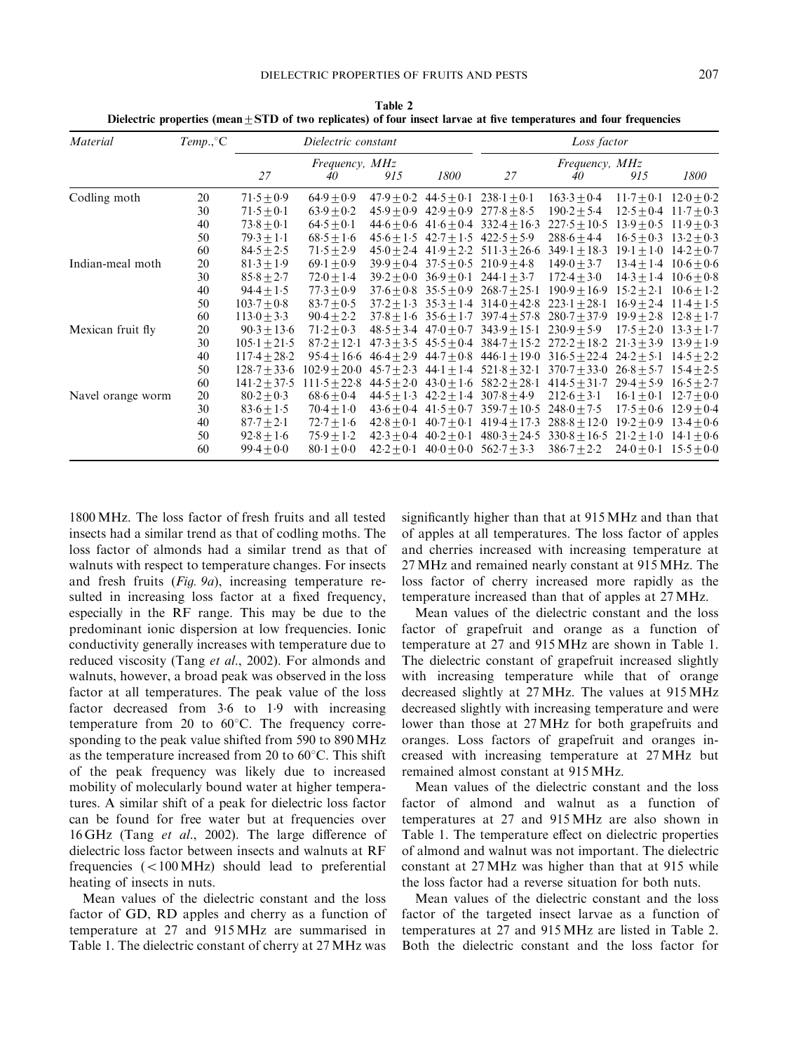| Material          | Temp., °C | Dielectric constant |                      |                | Loss factor                   |                                                |                             |                |                               |
|-------------------|-----------|---------------------|----------------------|----------------|-------------------------------|------------------------------------------------|-----------------------------|----------------|-------------------------------|
|                   |           | 27                  | Frequency, MHz<br>40 | 915            | 1800                          | 27                                             | Frequency, MHz<br>40        | 915            | 1800                          |
| Codling moth      | 20        | $71.5 \pm 0.9$      | $64.9 \pm 0.9$       |                | $47.9 \pm 0.2$ $44.5 \pm 0.1$ | $238.1 \pm 0.1$                                | $163.3 + 0.4$               | $11.7 + 0.1$   | $12.0 \pm 0.2$                |
|                   | 30        | $71.5 + 0.1$        | $63.9 + 0.2$         | $45.9 + 0.9$   | $42.9 + 0.9$                  | $277.8 + 8.5$                                  | $190.2 + 5.4$               | $12.5 \pm 0.4$ | $11.7 + 0.3$                  |
|                   | 40        | $73.8 \pm 0.1$      | $64.5 + 0.1$         |                |                               | $44.6 + 0.6$ $41.6 + 0.4$ $332.4 + 16.3$       | $227.5 + 10.5$              | $13.9 + 0.5$   | $11.9 + 0.3$                  |
|                   | 50        | $79.3 + 1.1$        | $68.5 + 1.6$         |                |                               | $45.6 + 1.5$ $42.7 + 1.5$ $422.5 + 5.9$        | $288.6 + 4.4$               | $16.5 + 0.3$   | $13.2 + 0.3$                  |
|                   | 60        | $84.5 + 2.5$        | $71.5 \pm 2.9$       |                |                               | $45.0 + 2.4$ $41.9 + 2.2$ $511.3 + 26.6$       | $349.1 + 18.3$              | $19.1 \pm 1.0$ | $14.2 + 0.7$                  |
| Indian-meal moth  | 20        | $81.3 \pm 1.9$      | $69.1 + 0.9$         | $39.9 + 0.4$   |                               | $37.5 + 0.5$ 210.9 + 4.8                       | $149.0 \pm 3.7$             | $13.4 + 1.4$   | $10.6 + 0.6$                  |
|                   | 30        | $85.8 \pm 2.7$      | $72.0 \pm 1.4$       | $39.2 + 0.0$   |                               | $36.9 + 0.1$ $244.1 + 3.7$                     | $172.4 \pm 3.0$             |                | $14.3 \pm 1.4$ $10.6 \pm 0.8$ |
|                   | 40        | $94.4 \pm 1.5$      | $77.3 \pm 0.9$       | $37.6 + 0.8$   | $35.5 \pm 0.9$                | $268.7 \pm 25.1$                               | $190.9 \pm 16.9$            | $15.2 \pm 2.1$ | $10.6 \pm 1.2$                |
|                   | 50        | $103.7 + 0.8$       | $83.7 + 0.5$         |                |                               | $37.2 + 1.3$ $35.3 + 1.4$ $314.0 + 42.8$       | $223.1 + 28.1$              | $16.9 + 2.4$   | $11.4 + 1.5$                  |
|                   | 60        | $113.0 \pm 3.3$     | $90.4 \pm 2.2$       |                |                               | $37.8 + 1.6$ $35.6 + 1.7$ $397.4 + 57.8$       | $280.7 + 37.9$              | $19.9 + 2.8$   | $12.8 + 1.7$                  |
| Mexican fruit fly | 20        | $90.3 + 13.6$       | $71.2 + 0.3$         |                |                               | $48.5 \pm 3.4$ $47.0 \pm 0.7$ $343.9 \pm 15.1$ | $230.9 + 5.9$               | $17.5 + 2.0$   | $13.3 + 1.7$                  |
|                   | 30        | $105.1 \pm 21.5$    | $87.2 + 12.1$        |                |                               | $47.3 + 3.5$ $45.5 + 0.4$ $384.7 + 15.2$       | $272.2 + 18.2$              | $21.3 + 3.9$   | $13.9 + 1.9$                  |
|                   | 40        | $117.4 \pm 28.2$    | $95.4 + 16.6$        |                |                               | $46.4 + 2.9$ $44.7 + 0.8$ $446.1 + 19.0$       | $316.5 + 22.4$ $24.2 + 5.1$ |                | $14.5 + 2.2$                  |
|                   | 50        | $128.7 \pm 33.6$    | $102.9 \pm 20.0$     | $45.7 + 2.3$   | 44.1 $\pm$ 1.4                | $521.8 + 32.1$                                 | $370.7 + 33.0$              | $26.8 + 5.7$   | $15.4 \pm 2.5$                |
|                   | 60        | $141.2 \pm 37.5$    | $111.5 + 22.8$       | $44.5 + 2.0$   |                               | $43.0 + 1.6$ $582.2 + 28.1$                    | $414.5 + 31.7$              | $29.4 + 5.9$   | $16.5 + 2.7$                  |
| Navel orange worm | 20        | $80.2 \pm 0.3$      | $68.6 + 0.4$         | $44.5 + 1.3$   |                               | $42.2 + 1.4$ 307.8 + 4.9                       | $212.6 \pm 3.1$             | $16.1 + 0.1$   | $12.7 \pm 0.0$                |
|                   | 30        | $83.6 \pm 1.5$      | $70.4 + 1.0$         | $43.6 \pm 0.4$ | $41.5 + 0.7$                  | $359.7 \pm 10.5$                               | $248.0 \pm 7.5$             | $17.5 + 0.6$   | $12.9 \pm 0.4$                |
|                   | 40        | $87.7 + 2.1$        | $72.7 \pm 1.6$       | $42.8 + 0.1$   | $40.7 + 0.1$                  | $419.4 + 17.3$                                 | $288.8 \pm 12.0$            | $19.2 + 0.9$   | $13.4 + 0.6$                  |
|                   | 50        | $92.8 \pm 1.6$      | $75.9 \pm 1.2$       | $42.3 + 0.4$   | $40.2 + 0.1$                  | $480.3 + 24.5$                                 | $330.8 \pm 16.5$            | $21.2 + 1.0$   | $14.1 \pm 0.6$                |
|                   | 60        | $99.4 + 0.0$        | $80.1 \pm 0.0$       | $42.2 + 0.1$   |                               | $40.0 + 0.0$ $562.7 + 3.3$                     | $386.7 + 2.2$               | $24.0 + 0.1$   | $15.5 \pm 0.0$                |

Table 2 Dielectric properties (mean  $\pm$  STD of two replicates) of four insect larvae at five temperatures and four frequencies

1800 MHz. The loss factor of fresh fruits and all tested insects had a similar trend as that of codling moths. The loss factor of almonds had a similar trend as that of walnuts with respect to temperature changes. For insects and fresh fruits (Fig. 9a), increasing temperature resulted in increasing loss factor at a fixed frequency, especially in the RF range. This may be due to the predominant ionic dispersion at low frequencies. Ionic conductivity generally increases with temperature due to reduced viscosity (Tang et al., 2002). For almonds and walnuts, however, a broad peak was observed in the loss factor at all temperatures. The peak value of the loss factor decreased from 3.6 to 1.9 with increasing temperature from 20 to  $60^{\circ}$ C. The frequency corresponding to the peak value shifted from 590 to 890 MHz as the temperature increased from 20 to  $60^{\circ}$ C. This shift of the peak frequency was likely due to increased mobility of molecularly bound water at higher temperatures. A similar shift of a peak for dielectric loss factor can be found for free water but at frequencies over 16 GHz (Tang et al., 2002). The large difference of dielectric loss factor between insects and walnuts at RF frequencies  $(<100$  MHz) should lead to preferential heating of insects in nuts.

Mean values of the dielectric constant and the loss factor of GD, RD apples and cherry as a function of temperature at 27 and 915 MHz are summarised in Table 1. The dielectric constant of cherry at 27 MHz was

significantly higher than that at 915 MHz and than that of apples at all temperatures. The loss factor of apples and cherries increased with increasing temperature at 27 MHz and remained nearly constant at 915 MHz. The loss factor of cherry increased more rapidly as the temperature increased than that of apples at 27 MHz.

Mean values of the dielectric constant and the loss factor of grapefruit and orange as a function of temperature at 27 and 915 MHz are shown in Table 1. The dielectric constant of grapefruit increased slightly with increasing temperature while that of orange decreased slightly at 27 MHz. The values at 915 MHz decreased slightly with increasing temperature and were lower than those at 27 MHz for both grapefruits and oranges. Loss factors of grapefruit and oranges increased with increasing temperature at 27 MHz but remained almost constant at 915 MHz.

Mean values of the dielectric constant and the loss factor of almond and walnut as a function of temperatures at 27 and 915 MHz are also shown in Table 1. The temperature effect on dielectric properties of almond and walnut was not important. The dielectric constant at 27 MHz was higher than that at 915 while the loss factor had a reverse situation for both nuts.

Mean values of the dielectric constant and the loss factor of the targeted insect larvae as a function of temperatures at 27 and 915 MHz are listed in Table 2. Both the dielectric constant and the loss factor for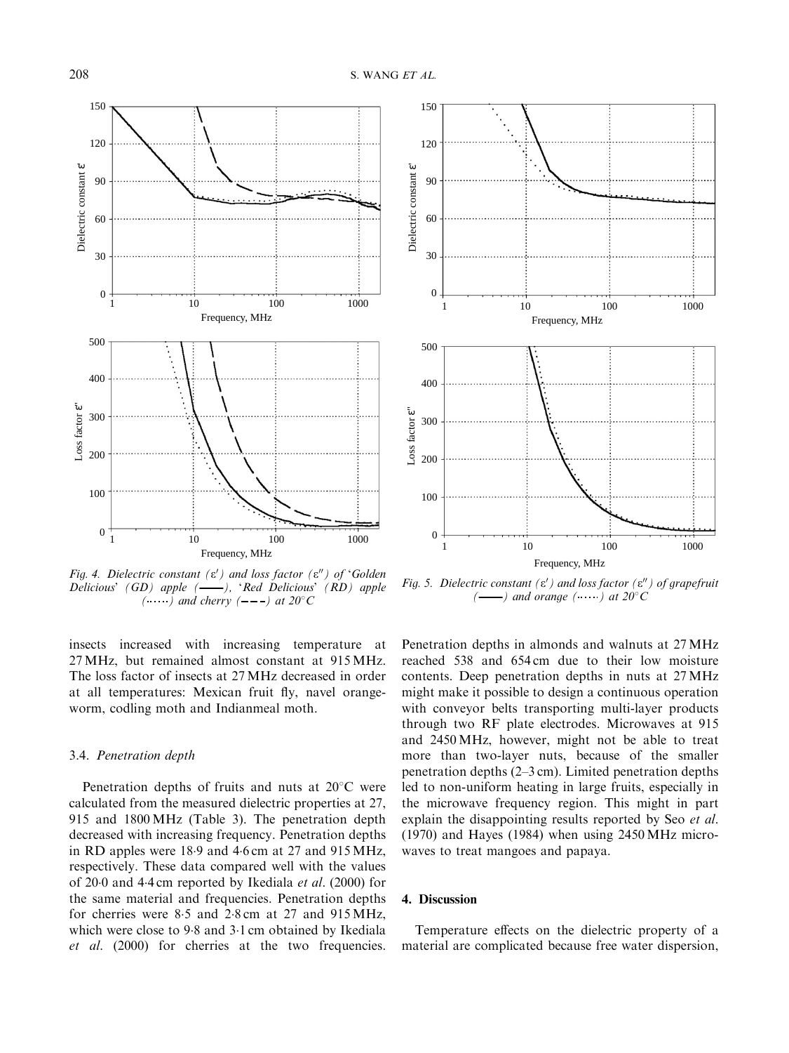

Fig. 4. Dielectric constant ( $\varepsilon'$ ) and loss factor ( $\varepsilon''$ ) of 'Golden Delicious' (GD) apple  $($ --), 'Red Delicious' (RD) apple  $(\cdots)$  and cherry  $(---)$  at 20°C

insects increased with increasing temperature at 27 MHz, but remained almost constant at 915 MHz. The loss factor of insects at 27 MHz decreased in order at all temperatures: Mexican fruit fly, navel orangeworm, codling moth and Indianmeal moth.

### 3.4. Penetration depth

Penetration depths of fruits and nuts at  $20^{\circ}$ C were calculated from the measured dielectric properties at 27, 915 and 1800 MHz (Table 3). The penetration depth decreased with increasing frequency. Penetration depths in RD apples were  $18.9$  and  $4.6$  cm at  $27$  and  $915 \text{ MHz}$ , respectively. These data compared well with the values of 2000 and 4.4 cm reported by Ikediala *et al.* (2000) for the same material and frequencies. Penetration depths for cherries were  $8.5$  and  $2.8$  cm at  $27$  and  $915 \text{ MHz}$ , which were close to  $9.8$  and  $3.1$  cm obtained by Ikediala et al. (2000) for cherries at the two frequencies.



Fig. 5. Dielectric constant ( $\varepsilon'$ ) and loss factor ( $\varepsilon''$ ) of grapefruit  $(\_\_\_ )$  and orange  $(\_\_\_\)$  at 20°C

Penetration depths in almonds and walnuts at 27 MHz reached 538 and 654 cm due to their low moisture contents. Deep penetration depths in nuts at 27 MHz might make it possible to design a continuous operation with conveyor belts transporting multi-layer products through two RF plate electrodes. Microwaves at 915 and 2450 MHz, however, might not be able to treat more than two-layer nuts, because of the smaller penetration depths (2–3 cm). Limited penetration depths led to non-uniform heating in large fruits, especially in the microwave frequency region. This might in part explain the disappointing results reported by Seo et al. (1970) and Hayes (1984) when using 2450 MHz microwaves to treat mangoes and papaya.

### 4. Discussion

Temperature effects on the dielectric property of a material are complicated because free water dispersion,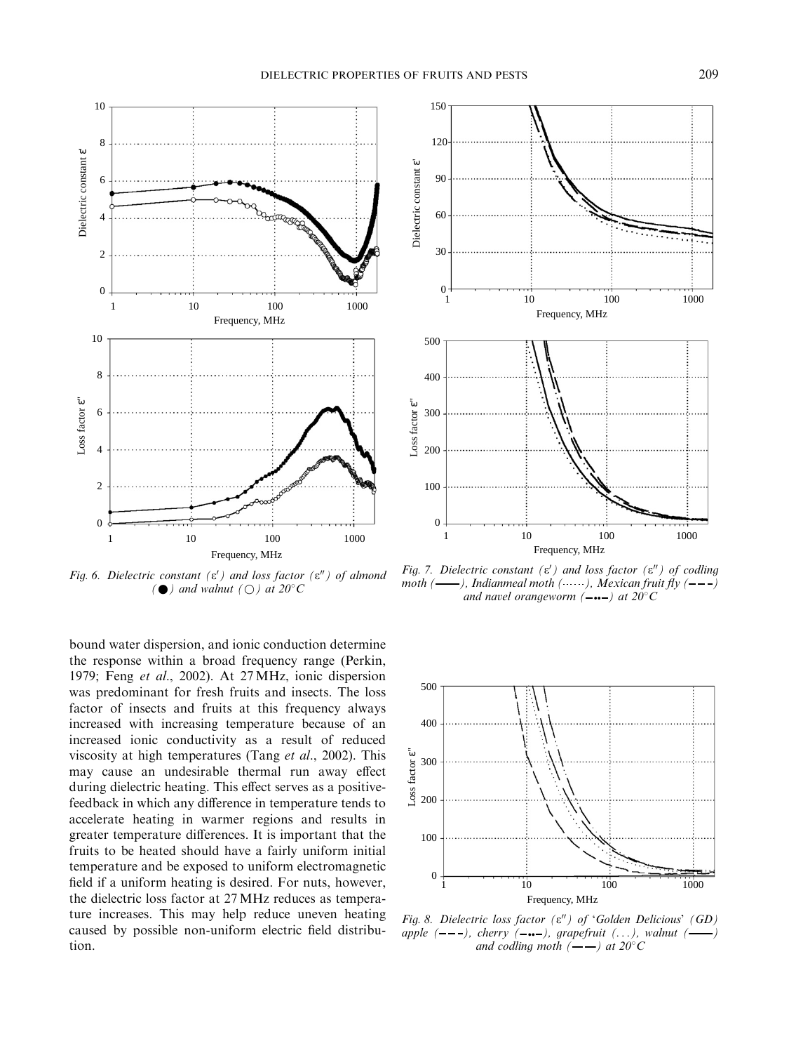

Fig. 6. Dielectric constant ( $\varepsilon$ <sup>'</sup>) and loss factor ( $\varepsilon$ <sup>"</sup>) of almond ( $\bullet$ ) and walnut ( $\bigcirc$ ) at 20°C

bound water dispersion, and ionic conduction determine the response within a broad frequency range (Perkin, 1979; Feng et al., 2002). At 27 MHz, ionic dispersion was predominant for fresh fruits and insects. The loss factor of insects and fruits at this frequency always increased with increasing temperature because of an increased ionic conductivity as a result of reduced viscosity at high temperatures (Tang et al., 2002). This may cause an undesirable thermal run away effect during dielectric heating. This effect serves as a positivefeedback in which any difference in temperature tends to accelerate heating in warmer regions and results in greater temperature differences. It is important that the fruits to be heated should have a fairly uniform initial temperature and be exposed to uniform electromagnetic field if a uniform heating is desired. For nuts, however, the dielectric loss factor at 27 MHz reduces as temperature increases. This may help reduce uneven heating caused by possible non-uniform electric field distribution.



Fig. 7. Dielectric constant ( $\varepsilon$ <sup>'</sup>) and loss factor ( $\varepsilon$ <sup>"</sup>) of codling moth  $($ —), Indianmeal moth  $($ …), Mexican fruit fly  $($ --) and navel orangeworm  $(- \cdots -)$  at  $20^{\circ}$ C



Fig. 8. Dielectric loss factor  $(\varepsilon'')$  of 'Golden Delicious' (GD) apple  $(---)$ , cherry  $(---)$ , grapefruit  $( \ldots )$ , walnut  $($ and codling moth  $($ — $)$  at 20°C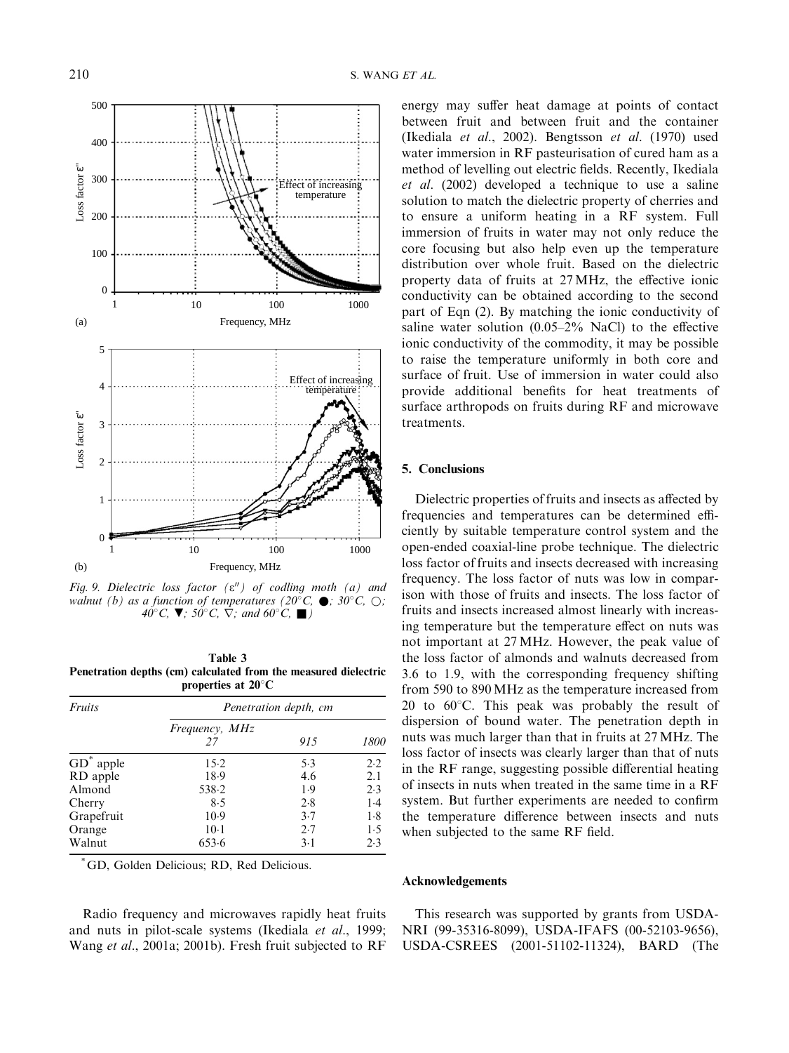

Fig. 9. Dielectric loss factor  $(\varepsilon'')$  of codling moth (a) and walnut (b) as a function of temperatures (20 $^{\circ}$ C,  $\bullet$ ; 30 $^{\circ}$ C,  $\odot$ ; 40°C,  $\nabla$ ; 50°C,  $\nabla$ ; and 60°C,  $\blacksquare$ )

Table 3 Penetration depths (cm) calculated from the measured dielectric properties at  $20^{\circ}$ C

| <i>Fruits</i> | Penetration depth, cm       |       |      |  |  |
|---------------|-----------------------------|-------|------|--|--|
|               | <i>Frequency, MHz</i><br>27 | 915   | 1800 |  |  |
| $GD^*$ apple  | $15-2$                      | 5.3   | 2.2  |  |  |
| RD apple      | 18.9                        | 4.6   | 2.1  |  |  |
| Almond        | 538.2                       | 1.9   | 2.3  |  |  |
| Cherry        | 8.5                         | 2.8   | 1.4  |  |  |
| Grapefruit    | 10.9                        | 3.7   | 1.8  |  |  |
| Orange        | $10-1$                      | 2.7   | 1.5  |  |  |
| Walnut        | 653.6                       | $3-1$ | 2.3  |  |  |

GD, Golden Delicious; RD, Red Delicious.

Radio frequency and microwaves rapidly heat fruits and nuts in pilot-scale systems (Ikediala et al., 1999; Wang et al., 2001a; 2001b). Fresh fruit subjected to RF

energy may suffer heat damage at points of contact between fruit and between fruit and the container (Ikediala et al., 2002). Bengtsson et al. (1970) used water immersion in RF pasteurisation of cured ham as a method of levelling out electric fields. Recently, Ikediala et al. (2002) developed a technique to use a saline solution to match the dielectric property of cherries and to ensure a uniform heating in a RF system. Full immersion of fruits in water may not only reduce the core focusing but also help even up the temperature distribution over whole fruit. Based on the dielectric property data of fruits at 27 MHz, the effective ionic conductivity can be obtained according to the second part of Eqn (2). By matching the ionic conductivity of saline water solution  $(0.05-2\% \text{ NaCl})$  to the effective ionic conductivity of the commodity, it may be possible to raise the temperature uniformly in both core and surface of fruit. Use of immersion in water could also provide additional benefits for heat treatments of surface arthropods on fruits during RF and microwave treatments.

# 5. Conclusions

Dielectric properties of fruits and insects as affected by frequencies and temperatures can be determined efficiently by suitable temperature control system and the open-ended coaxial-line probe technique. The dielectric loss factor of fruits and insects decreased with increasing frequency. The loss factor of nuts was low in comparison with those of fruits and insects. The loss factor of fruits and insects increased almost linearly with increasing temperature but the temperature effect on nuts was not important at 27 MHz. However, the peak value of the loss factor of almonds and walnuts decreased from 3.6 to 1.9, with the corresponding frequency shifting from 590 to 890 MHz as the temperature increased from 20 to  $60^{\circ}$ C. This peak was probably the result of dispersion of bound water. The penetration depth in nuts was much larger than that in fruits at 27 MHz. The loss factor of insects was clearly larger than that of nuts in the RF range, suggesting possible differential heating of insects in nuts when treated in the same time in a RF system. But further experiments are needed to confirm the temperature difference between insects and nuts when subjected to the same RF field.

### Acknowledgements

This research was supported by grants from USDA-NRI (99-35316-8099), USDA-IFAFS (00-52103-9656), USDA-CSREES (2001-51102-11324), BARD (The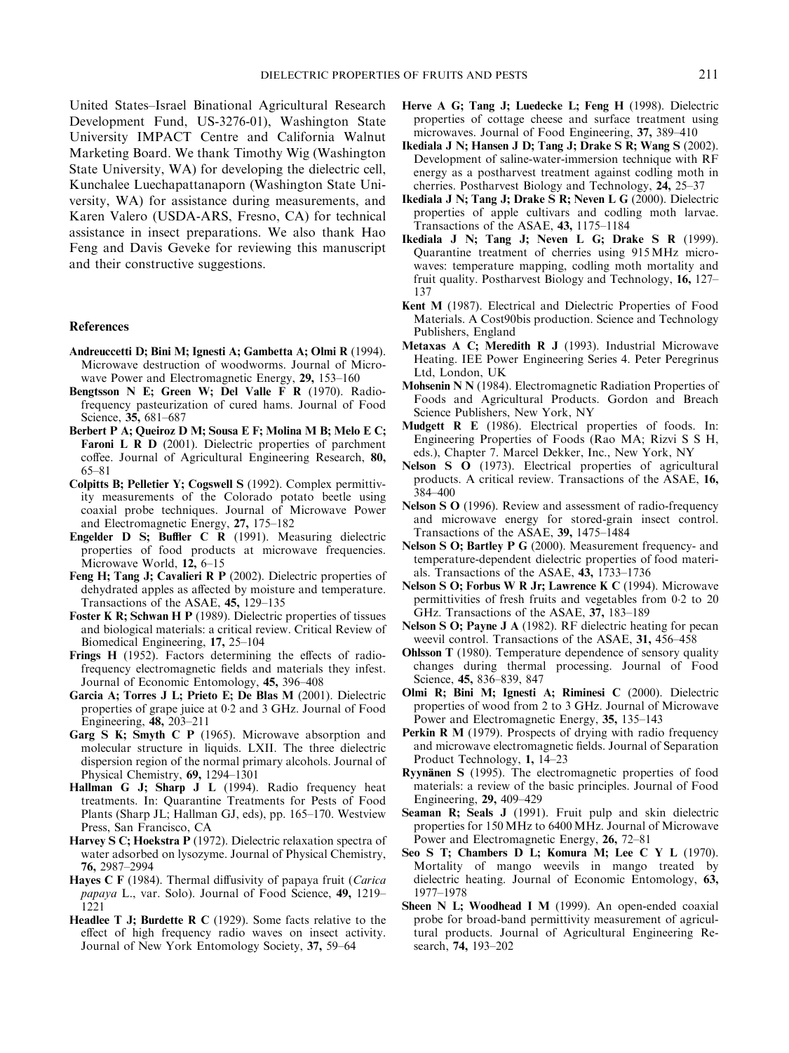United States–Israel Binational Agricultural Research Development Fund, US-3276-01), Washington State University IMPACT Centre and California Walnut Marketing Board. We thank Timothy Wig (Washington State University, WA) for developing the dielectric cell, Kunchalee Luechapattanaporn (Washington State University, WA) for assistance during measurements, and Karen Valero (USDA-ARS, Fresno, CA) for technical assistance in insect preparations. We also thank Hao Feng and Davis Geveke for reviewing this manuscript and their constructive suggestions.

# References

- Andreuccetti D; Bini M; Ignesti A; Gambetta A; Olmi R (1994). Microwave destruction of woodworms. Journal of Microwave Power and Electromagnetic Energy, 29, 153–160
- Bengtsson N E; Green W; Del Valle F R (1970). Radiofrequency pasteurization of cured hams. Journal of Food Science, 35, 681–687
- Berbert P A; Queiroz D M; Sousa E F; Molina M B; Melo E C; Faroni L R D (2001). Dielectric properties of parchment coffee. Journal of Agricultural Engineering Research, 80, 65–81
- Colpitts B; Pelletier Y; Cogswell S (1992). Complex permittivity measurements of the Colorado potato beetle using coaxial probe techniques. Journal of Microwave Power and Electromagnetic Energy, 27, 175–182
- Engelder D S; Buffler C R (1991). Measuring dielectric properties of food products at microwave frequencies. Microwave World, 12, 6–15
- Feng H; Tang J; Cavalieri R P (2002). Dielectric properties of dehydrated apples as affected by moisture and temperature. Transactions of the ASAE, 45, 129–135
- Foster K R; Schwan H P (1989). Dielectric properties of tissues and biological materials: a critical review. Critical Review of Biomedical Engineering, 17, 25–104
- Frings H (1952). Factors determining the effects of radiofrequency electromagnetic fields and materials they infest. Journal of Economic Entomology, 45, 396–408
- Garcia A; Torres J L; Prieto E; De Blas M (2001). Dielectric properties of grape juice at 02 and 3 GHz. Journal of Food Engineering, 48, 203–211
- Garg S K; Smyth C P (1965). Microwave absorption and molecular structure in liquids. LXII. The three dielectric dispersion region of the normal primary alcohols. Journal of Physical Chemistry, 69, 1294–1301
- Hallman G J; Sharp J L (1994). Radio frequency heat treatments. In: Quarantine Treatments for Pests of Food Plants (Sharp JL; Hallman GJ, eds), pp. 165–170. Westview Press, San Francisco, CA
- Harvey S C; Hoekstra P (1972). Dielectric relaxation spectra of water adsorbed on lysozyme. Journal of Physical Chemistry, 76, 2987–2994
- Hayes C F (1984). Thermal diffusivity of papaya fruit (Carica papaya L., var. Solo). Journal of Food Science, 49, 1219– 1221
- Headlee T J; Burdette R C (1929). Some facts relative to the effect of high frequency radio waves on insect activity. Journal of New York Entomology Society, 37, 59–64
- Herve A G; Tang J; Luedecke L; Feng H (1998). Dielectric properties of cottage cheese and surface treatment using microwaves. Journal of Food Engineering, 37, 389–410
- Ikediala J N; Hansen J D; Tang J; Drake S R; Wang S (2002). Development of saline-water-immersion technique with RF energy as a postharvest treatment against codling moth in cherries. Postharvest Biology and Technology, 24, 25–37
- Ikediala J N; Tang J; Drake S R; Neven L G (2000). Dielectric properties of apple cultivars and codling moth larvae. Transactions of the ASAE, 43, 1175–1184
- Ikediala J N; Tang J; Neven L G; Drake S R (1999). Quarantine treatment of cherries using 915 MHz microwaves: temperature mapping, codling moth mortality and fruit quality. Postharvest Biology and Technology, 16, 127– 137
- Kent M (1987). Electrical and Dielectric Properties of Food Materials. A Cost90bis production. Science and Technology Publishers, England
- Metaxas A C; Meredith R J (1993). Industrial Microwave Heating. IEE Power Engineering Series 4. Peter Peregrinus Ltd, London, UK
- Mohsenin N N (1984). Electromagnetic Radiation Properties of Foods and Agricultural Products. Gordon and Breach Science Publishers, New York, NY
- Mudgett R E (1986). Electrical properties of foods. In: Engineering Properties of Foods (Rao MA; Rizvi S S H, eds.), Chapter 7. Marcel Dekker, Inc., New York, NY
- Nelson S O (1973). Electrical properties of agricultural products. A critical review. Transactions of the ASAE, 16,  $384 - 400$
- Nelson S O (1996). Review and assessment of radio-frequency and microwave energy for stored-grain insect control. Transactions of the ASAE, 39, 1475–1484
- Nelson S O; Bartley P G (2000). Measurement frequency- and temperature-dependent dielectric properties of food materials. Transactions of the ASAE, 43, 1733–1736
- Nelson S O; Forbus W R Jr; Lawrence K C (1994). Microwave permittivities of fresh fruits and vegetables from 02 to 20 GHz. Transactions of the ASAE, 37, 183–189
- Nelson S O; Payne J A (1982). RF dielectric heating for pecan weevil control. Transactions of the ASAE, 31, 456–458
- Ohlsson T (1980). Temperature dependence of sensory quality changes during thermal processing. Journal of Food Science, 45, 836–839, 847
- Olmi R; Bini M; Ignesti A; Riminesi C (2000). Dielectric properties of wood from 2 to 3 GHz. Journal of Microwave Power and Electromagnetic Energy, 35, 135–143
- Perkin R M (1979). Prospects of drying with radio frequency and microwave electromagnetic fields. Journal of Separation Product Technology, 1, 14–23
- Ryynänen S (1995). The electromagnetic properties of food materials: a review of the basic principles. Journal of Food Engineering, 29, 409–429
- Seaman R; Seals J (1991). Fruit pulp and skin dielectric properties for 150 MHz to 6400 MHz. Journal of Microwave Power and Electromagnetic Energy, 26, 72–81
- Seo S T; Chambers D L; Komura M; Lee C Y L (1970). Mortality of mango weevils in mango treated by dielectric heating. Journal of Economic Entomology, 63, 1977–1978
- Sheen N L: Woodhead I M (1999). An open-ended coaxial probe for broad-band permittivity measurement of agricultural products. Journal of Agricultural Engineering Research, 74, 193–202